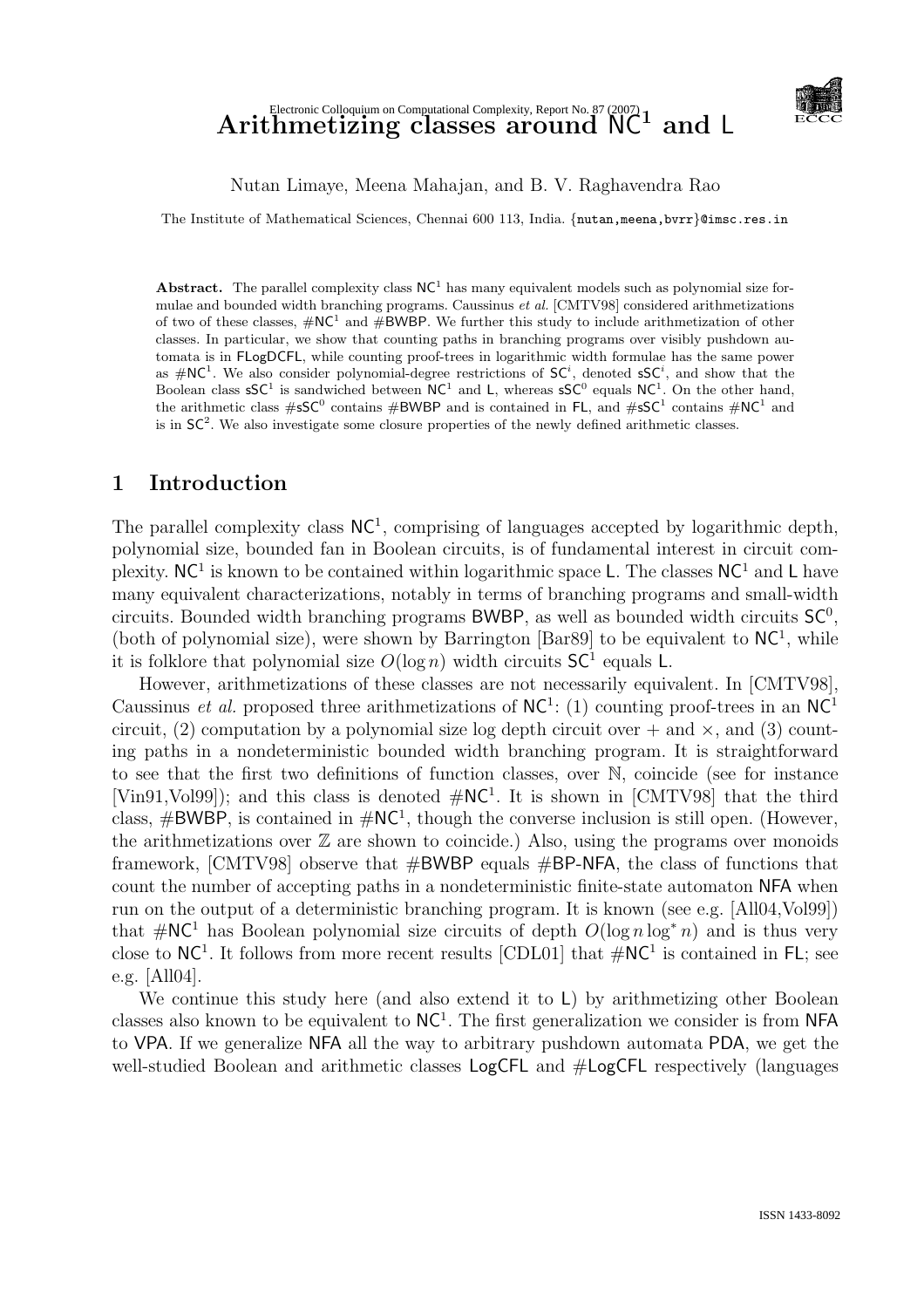# $\operatorname{Arithmetic}\nolimits^{\text{Electronic Coloquium on Computational Complexity, Report No. 87 (2007)}\nolimits_{\text{C}} 1 \text{ and } L$



#### Nutan Limaye, Meena Mahajan, and B. V. Raghavendra Rao

The Institute of Mathematical Sciences, Chennai 600 113, India. {nutan,meena,bvrr}@imsc.res.in

Abstract. The parallel complexity class  $NC<sup>1</sup>$  has many equivalent models such as polynomial size formulae and bounded width branching programs. Caussinus et al. [CMTV98] considered arithmetizations of two of these classes,  $\#\text{NC}^1$  and  $\#\text{BWBP}$ . We further this study to include arithmetization of other classes. In particular, we show that counting paths in branching programs over visibly pushdown automata is in FLogDCFL, while counting proof-trees in logarithmic width formulae has the same power as  $\#\text{NC}^1$ . We also consider polynomial-degree restrictions of  $\text{SC}^i$ , denoted  $\text{sSC}^i$ , and show that the Boolean class  $\mathsf{S} \mathsf{C}^1$  is sandwiched between  $\mathsf{NC}^1$  and L, whereas  $\mathsf{S} \mathsf{C}^0$  equals  $\mathsf{NC}^1$ . On the other hand, the arithmetic class  $\#sSC^0$  contains  $\#BWBP$  and is contained in FL, and  $\#sSC^1$  contains  $\#NC^1$  and is in  $SC<sup>2</sup>$ . We also investigate some closure properties of the newly defined arithmetic classes.

## 1 Introduction

The parallel complexity class  $NC<sup>1</sup>$ , comprising of languages accepted by logarithmic depth, polynomial size, bounded fan in Boolean circuits, is of fundamental interest in circuit complexity.  $NC<sup>1</sup>$  is known to be contained within logarithmic space L. The classes  $NC<sup>1</sup>$  and L have many equivalent characterizations, notably in terms of branching programs and small-width circuits. Bounded width branching programs BWBP, as well as bounded width circuits  $SC^0$ , (both of polynomial size), were shown by Barrington [Bar89] to be equivalent to  $NC^1$ , while it is folklore that polynomial size  $O(\log n)$  width circuits  $SC<sup>1</sup>$  equals L.

However, arithmetizations of these classes are not necessarily equivalent. In [CMTV98], Caussinus *et al.* proposed three arithmetizations of  $NC<sup>1</sup>$ : (1) counting proof-trees in an  $NC<sup>1</sup>$ circuit, (2) computation by a polynomial size log depth circuit over  $+$  and  $\times$ , and (3) counting paths in a nondeterministic bounded width branching program. It is straightforward to see that the first two definitions of function classes, over N, coincide (see for instance [Vin91, Vol99]); and this class is denoted  $\#\text{NC}^1$ . It is shown in [CMTV98] that the third class,  $\#BWBP$ , is contained in  $\#NC^1$ , though the converse inclusion is still open. (However, the arithmetizations over  $\mathbb Z$  are shown to coincide.) Also, using the programs over monoids framework, [CMTV98] observe that  $\#BWBP$  equals  $\#BP-NFA$ , the class of functions that count the number of accepting paths in a nondeterministic finite-state automaton NFA when run on the output of a deterministic branching program. It is known (see e.g. [All04,Vol99]) that  $\#\mathsf{NC}^1$  has Boolean polynomial size circuits of depth  $O(\log n \log^* n)$  and is thus very close to  $NC^1$ . It follows from more recent results [CDL01] that  $\# NC^1$  is contained in FL; see e.g. [All04].

We continue this study here (and also extend it to L) by arithmetizing other Boolean classes also known to be equivalent to  $NC<sup>1</sup>$ . The first generalization we consider is from NFA to VPA. If we generalize NFA all the way to arbitrary pushdown automata PDA, we get the well-studied Boolean and arithmetic classes LogCFL and  $\#LogCFL$  respectively (languages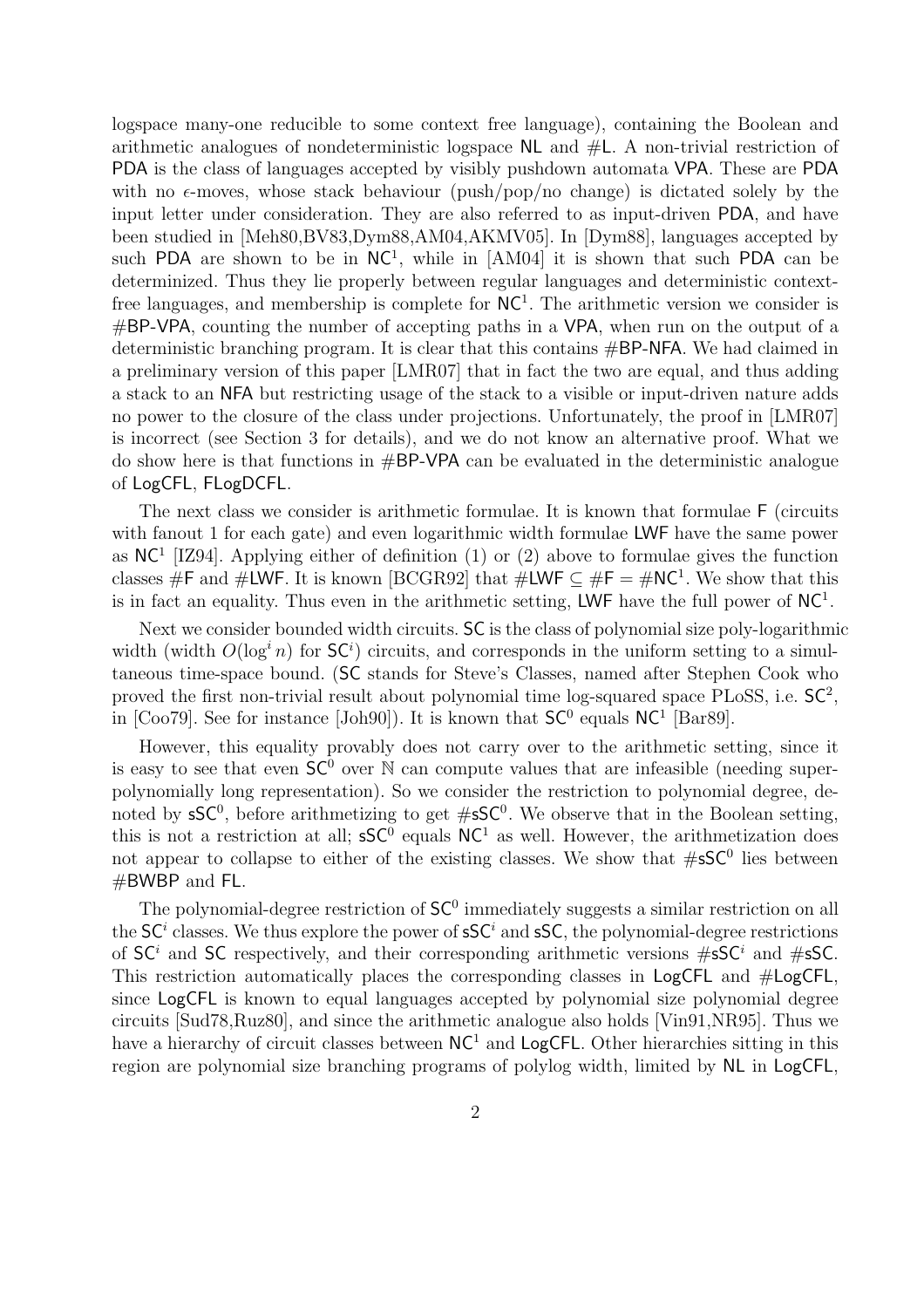logspace many-one reducible to some context free language), containing the Boolean and arithmetic analogues of nondeterministic logspace NL and #L. A non-trivial restriction of PDA is the class of languages accepted by visibly pushdown automata VPA. These are PDA with no  $\epsilon$ -moves, whose stack behaviour (push/pop/no change) is dictated solely by the input letter under consideration. They are also referred to as input-driven PDA, and have been studied in [Meh80,BV83,Dym88,AM04,AKMV05]. In [Dym88], languages accepted by such PDA are shown to be in  $NC<sup>1</sup>$ , while in [AM04] it is shown that such PDA can be determinized. Thus they lie properly between regular languages and deterministic contextfree languages, and membership is complete for  $NC<sup>1</sup>$ . The arithmetic version we consider is #BP-VPA, counting the number of accepting paths in a VPA, when run on the output of a deterministic branching program. It is clear that this contains #BP-NFA. We had claimed in a preliminary version of this paper [LMR07] that in fact the two are equal, and thus adding a stack to an NFA but restricting usage of the stack to a visible or input-driven nature adds no power to the closure of the class under projections. Unfortunately, the proof in [LMR07] is incorrect (see Section 3 for details), and we do not know an alternative proof. What we do show here is that functions in #BP-VPA can be evaluated in the deterministic analogue of LogCFL, FLogDCFL.

The next class we consider is arithmetic formulae. It is known that formulae F (circuits with fanout 1 for each gate) and even logarithmic width formulae LWF have the same power as  $NC<sup>1</sup>$  [IZ94]. Applying either of definition (1) or (2) above to formulae gives the function classes #F and #LWF. It is known [BCGR92] that  $\#LWF \subseteq \#F = \#NC^1$ . We show that this is in fact an equality. Thus even in the arithmetic setting, LWF have the full power of  $NC<sup>1</sup>$ .

Next we consider bounded width circuits. SC is the class of polynomial size poly-logarithmic width (width  $O(\log^i n)$  for  $SC^i$ ) circuits, and corresponds in the uniform setting to a simultaneous time-space bound. (SC stands for Steve's Classes, named after Stephen Cook who proved the first non-trivial result about polynomial time log-squared space PLoSS, i.e.  $SC^2$ , in [Coo79]. See for instance [Joh90]). It is known that  $SC^0$  equals  $NC^1$  [Bar89].

However, this equality provably does not carry over to the arithmetic setting, since it is easy to see that even  $SC^0$  over N can compute values that are infeasible (needing superpolynomially long representation). So we consider the restriction to polynomial degree, denoted by  $\mathsf{sSC}^0$ , before arithmetizing to get  $\# \mathsf{sSC}^0$ . We observe that in the Boolean setting, this is not a restriction at all;  $\mathsf{sSC}^0$  equals  $\mathsf{NC}^1$  as well. However, the arithmetization does not appear to collapse to either of the existing classes. We show that  $\#sSC^0$  lies between #BWBP and FL.

The polynomial-degree restriction of  $SC<sup>0</sup>$  immediately suggests a similar restriction on all the  $SC<sup>i</sup>$  classes. We thus explore the power of  $\mathsf{sSC}^i$  and  $\mathsf{sSC}$ , the polynomial-degree restrictions of  $SC<sup>i</sup>$  and SC respectively, and their corresponding arithmetic versions  $\#sSC<sup>i</sup>$  and  $\#sSC$ . This restriction automatically places the corresponding classes in LogCFL and #LogCFL, since LogCFL is known to equal languages accepted by polynomial size polynomial degree circuits [Sud78,Ruz80], and since the arithmetic analogue also holds [Vin91,NR95]. Thus we have a hierarchy of circuit classes between  $NC<sup>1</sup>$  and LogCFL. Other hierarchies sitting in this region are polynomial size branching programs of polylog width, limited by NL in LogCFL,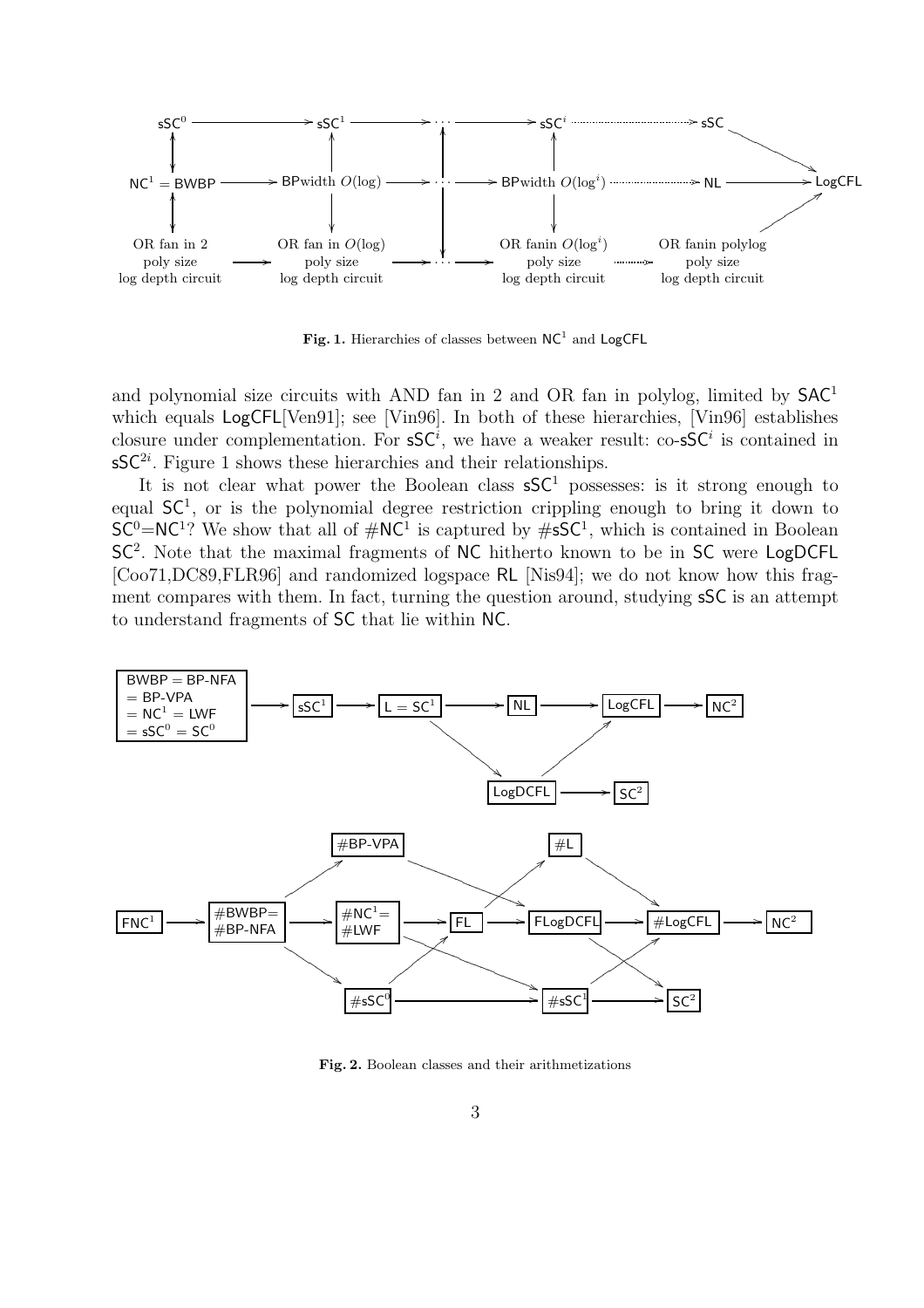

Fig. 1. Hierarchies of classes between  $NC^1$  and LogCFL

and polynomial size circuits with AND fan in 2 and OR fan in polylog, limited by  $SAC<sup>1</sup>$ which equals  $LogCFL[Van91]$ ; see [Vin96]. In both of these hierarchies, [Vin96] establishes closure under complementation. For  $\mathsf{sSC}^i$ , we have a weaker result: co- $\mathsf{sSC}^i$  is contained in  $\mathsf{sSC}^{2i}$ . Figure 1 shows these hierarchies and their relationships.

It is not clear what power the Boolean class  $S\mathcal{S}C^1$  possesses: is it strong enough to equal  $SC<sup>1</sup>$ , or is the polynomial degree restriction crippling enough to bring it down to  $SC^0=NC^1$ ? We show that all of  $\#\text{NC}^1$  is captured by  $\#\text{SC}^1$ , which is contained in Boolean SC<sup>2</sup>. Note that the maximal fragments of NC hitherto known to be in SC were LogDCFL [Coo71,DC89,FLR96] and randomized logspace RL [Nis94]; we do not know how this fragment compares with them. In fact, turning the question around, studying sSC is an attempt to understand fragments of SC that lie within NC.



Fig. 2. Boolean classes and their arithmetizations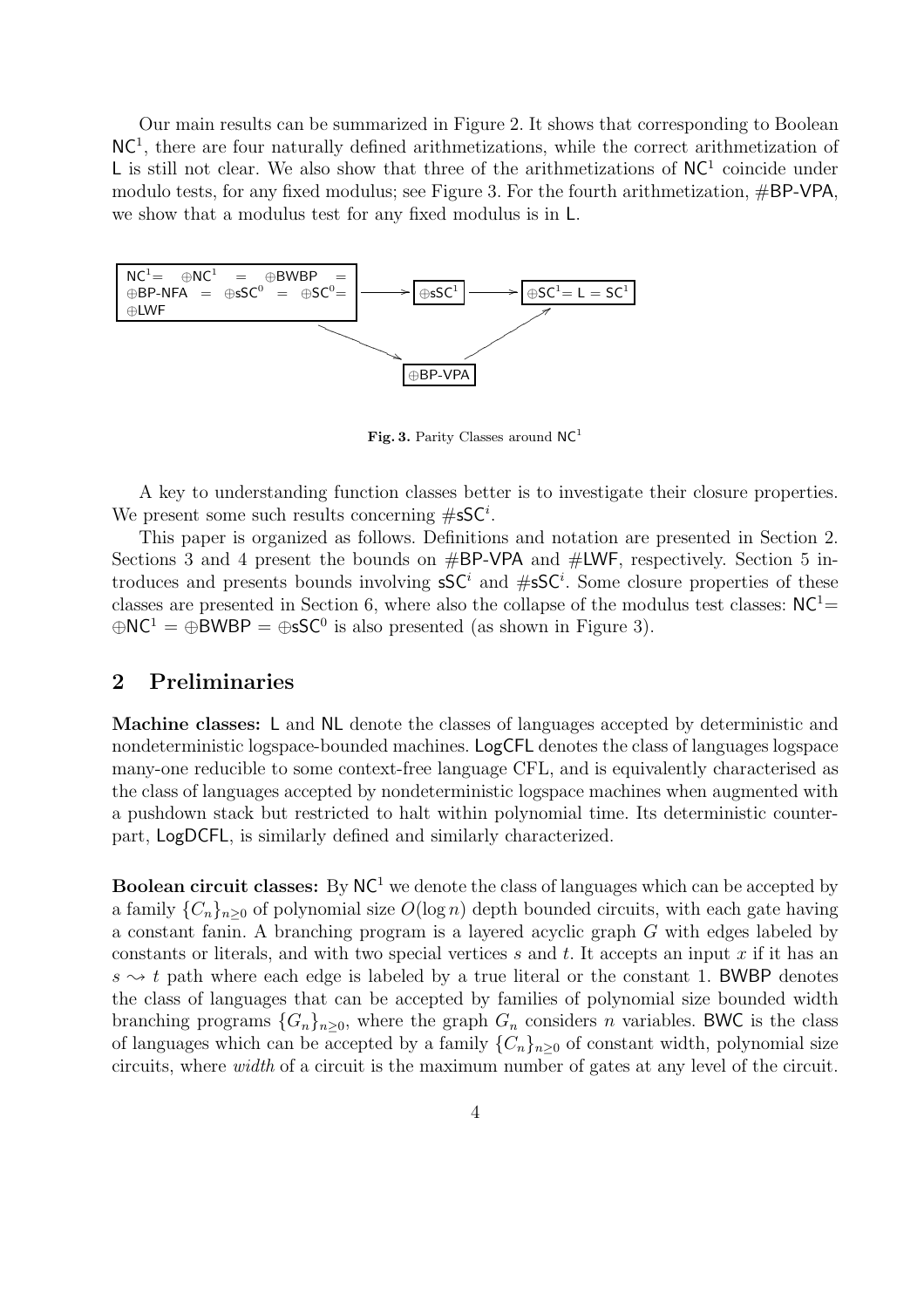Our main results can be summarized in Figure 2. It shows that corresponding to Boolean NC<sup>1</sup> , there are four naturally defined arithmetizations, while the correct arithmetization of L is still not clear. We also show that three of the arithmetizations of  $NC<sup>1</sup>$  coincide under modulo tests, for any fixed modulus; see Figure 3. For the fourth arithmetization, #BP-VPA, we show that a modulus test for any fixed modulus is in L.



Fig. 3. Parity Classes around  $NC<sup>1</sup>$ 

A key to understanding function classes better is to investigate their closure properties. We present some such results concerning  $\#\mathsf{sSC}^i$ .

This paper is organized as follows. Definitions and notation are presented in Section 2. Sections 3 and 4 present the bounds on  $\#BP\text{-}VPA$  and  $\#LWF$ , respectively. Section 5 introduces and presents bounds involving  $S\mathsf{C}^i$  and  $\#S\mathsf{C}^i$ . Some closure properties of these classes are presented in Section 6, where also the collapse of the modulus test classes:  $NC<sup>1</sup>=$  $\oplus NC^1 = \oplus BWBP = \oplus sSC^0$  is also presented (as shown in Figure 3).

## 2 Preliminaries

Machine classes: L and NL denote the classes of languages accepted by deterministic and nondeterministic logspace-bounded machines. LogCFL denotes the class of languages logspace many-one reducible to some context-free language CFL, and is equivalently characterised as the class of languages accepted by nondeterministic logspace machines when augmented with a pushdown stack but restricted to halt within polynomial time. Its deterministic counterpart, LogDCFL, is similarly defined and similarly characterized.

**Boolean circuit classes:** By  $NC<sup>1</sup>$  we denote the class of languages which can be accepted by a family  ${C_n}_{n>0}$  of polynomial size  $O(\log n)$  depth bounded circuits, with each gate having a constant fanin. A branching program is a layered acyclic graph G with edges labeled by constants or literals, and with two special vertices s and t. It accepts an input x if it has an  $s \sim t$  path where each edge is labeled by a true literal or the constant 1. BWBP denotes the class of languages that can be accepted by families of polynomial size bounded width branching programs  ${G_n}_{n>0}$ , where the graph  $G_n$  considers n variables. BWC is the class of languages which can be accepted by a family  ${C_n}_{n\geq 0}$  of constant width, polynomial size circuits, where width of a circuit is the maximum number of gates at any level of the circuit.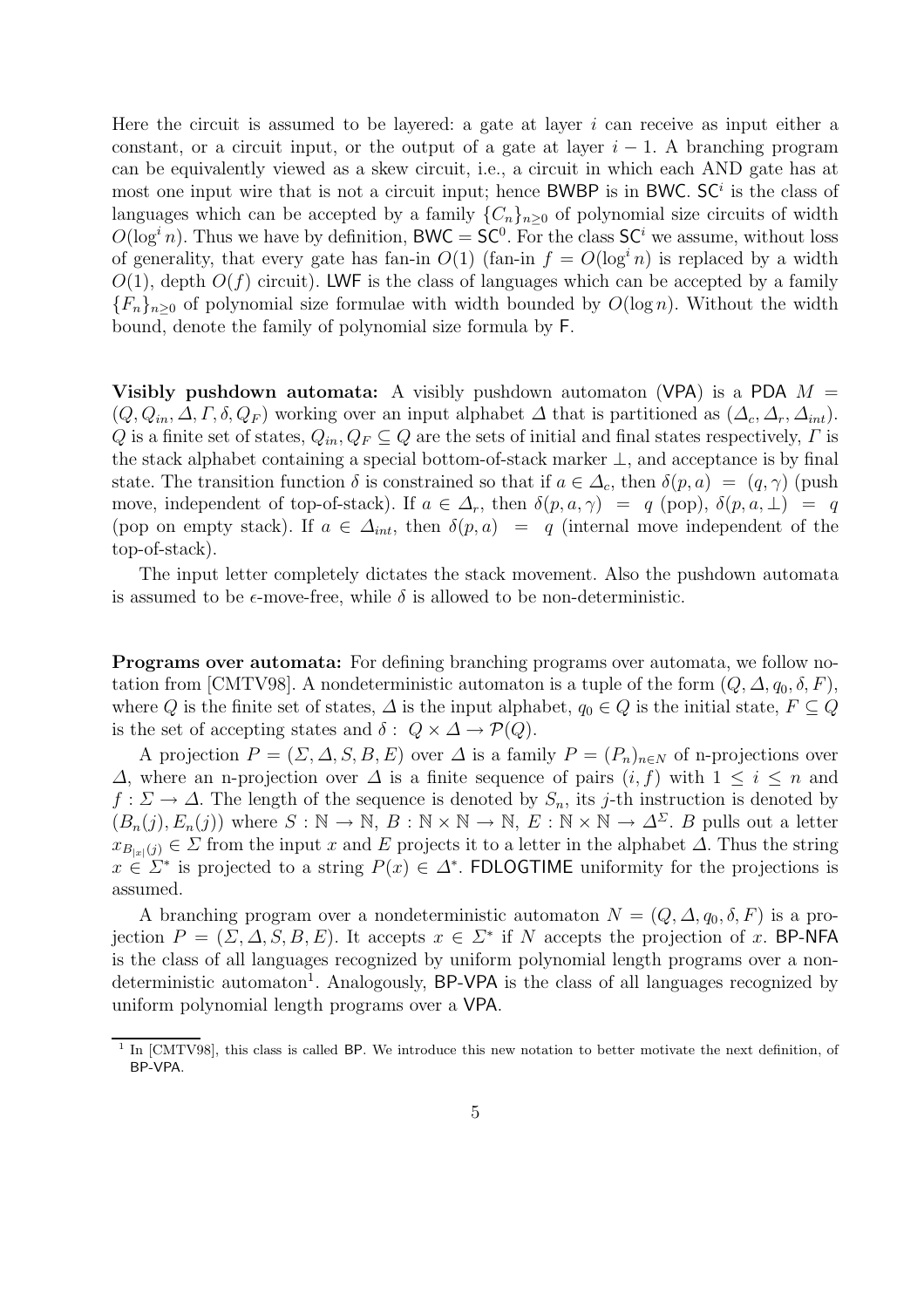Here the circuit is assumed to be layered: a gate at layer  $i$  can receive as input either a constant, or a circuit input, or the output of a gate at layer  $i - 1$ . A branching program can be equivalently viewed as a skew circuit, i.e., a circuit in which each AND gate has at most one input wire that is not a circuit input; hence BWBP is in BWC.  $SC<sup>i</sup>$  is the class of languages which can be accepted by a family  ${C_n}_{n>0}$  of polynomial size circuits of width  $O(\log^i n)$ . Thus we have by definition, BWC = SC<sup>0</sup>. For the class SC<sup>i</sup> we assume, without loss of generality, that every gate has fan-in  $O(1)$  (fan-in  $f = O(\log^3 n)$ ) is replaced by a width  $O(1)$ , depth  $O(f)$  circuit). LWF is the class of languages which can be accepted by a family  ${F_n}_{n>0}$  of polynomial size formulae with width bounded by  $O(\log n)$ . Without the width bound, denote the family of polynomial size formula by F.

**Visibly pushdown automata:** A visibly pushdown automaton (VPA) is a PDA  $M =$  $(Q, Q_{in}, \Delta, \Gamma, \delta, Q_F)$  working over an input alphabet  $\Delta$  that is partitioned as  $(\Delta_c, \Delta_r, \Delta_{int})$ . Q is a finite set of states,  $Q_{in}$ ,  $Q_F \subseteq Q$  are the sets of initial and final states respectively,  $\Gamma$  is the stack alphabet containing a special bottom-of-stack marker ⊥, and acceptance is by final state. The transition function  $\delta$  is constrained so that if  $a \in \Delta_c$ , then  $\delta(p, a) = (q, \gamma)$  (push move, independent of top-of-stack). If  $a \in \Delta_r$ , then  $\delta(p, a, \gamma) = q$  (pop),  $\delta(p, a, \perp) = q$ (pop on empty stack). If  $a \in \Delta_{int}$ , then  $\delta(p, a) = q$  (internal move independent of the top-of-stack).

The input letter completely dictates the stack movement. Also the pushdown automata is assumed to be  $\epsilon$ -move-free, while  $\delta$  is allowed to be non-deterministic.

Programs over automata: For defining branching programs over automata, we follow notation from [CMTV98]. A nondeterministic automaton is a tuple of the form  $(Q, \Delta, q_0, \delta, F)$ , where Q is the finite set of states,  $\Delta$  is the input alphabet,  $q_0 \in Q$  is the initial state,  $F \subseteq Q$ is the set of accepting states and  $\delta: Q \times \Delta \rightarrow \mathcal{P}(Q)$ .

A projection  $P = (\Sigma, \Delta, S, B, E)$  over  $\Delta$  is a family  $P = (P_n)_{n \in N}$  of n-projections over  $\Delta$ , where an n-projection over  $\Delta$  is a finite sequence of pairs  $(i, f)$  with  $1 \leq i \leq n$  and  $f: \Sigma \to \Delta$ . The length of the sequence is denoted by  $S_n$ , its j-th instruction is denoted by  $(B_n(j), E_n(j))$  where  $S : \mathbb{N} \to \mathbb{N}, B : \mathbb{N} \times \mathbb{N} \to \mathbb{N}, E : \mathbb{N} \times \mathbb{N} \to \Delta^{\Sigma}$ . B pulls out a letter  $x_{B_{|x|}(j)} \in \Sigma$  from the input x and E projects it to a letter in the alphabet  $\Delta$ . Thus the string  $x \in \Sigma^*$  is projected to a string  $P(x) \in \Delta^*$ . FDLOGTIME uniformity for the projections is assumed.

A branching program over a nondeterministic automaton  $N = (Q, \Delta, q_0, \delta, F)$  is a projection  $P = (\Sigma, \Delta, S, B, E)$ . It accepts  $x \in \Sigma^*$  if N accepts the projection of x. BP-NFA is the class of all languages recognized by uniform polynomial length programs over a nondeterministic automaton<sup>1</sup>. Analogously, BP-VPA is the class of all languages recognized by uniform polynomial length programs over a VPA.

<sup>&</sup>lt;sup>1</sup> In [CMTV98], this class is called BP. We introduce this new notation to better motivate the next definition, of BP-VPA.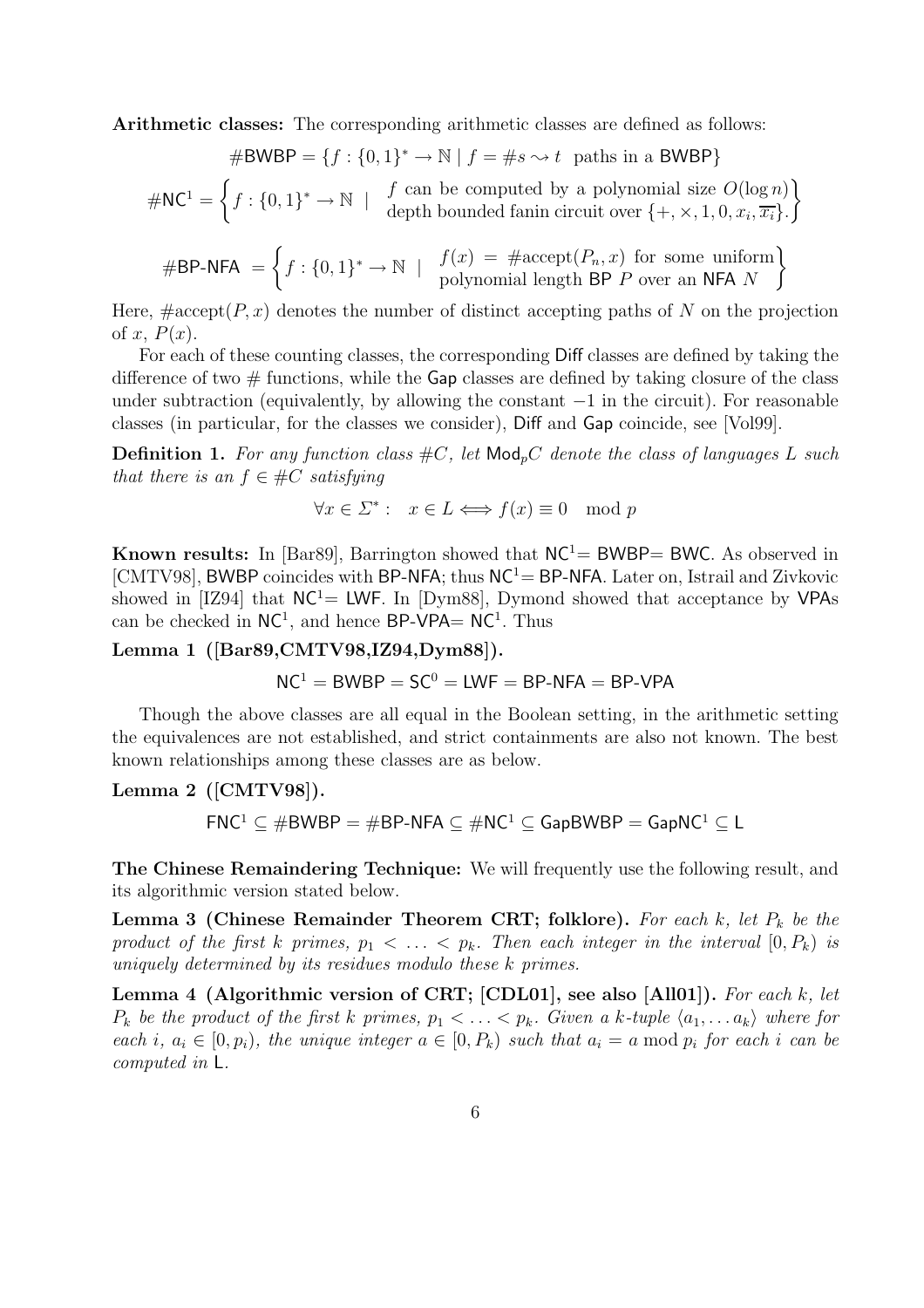Arithmetic classes: The corresponding arithmetic classes are defined as follows:

$$
\# \text{BWBP} = \{ f : \{0, 1\}^* \to \mathbb{N} \mid f = \#s \leadsto t \text{ paths in a BWBP} \}
$$

$$
\#NC^1 = \left\{ f : \{0,1\}^* \to \mathbb{N} \mid f \text{ can be computed by a polynomial size } O(\log n) \right\}
$$
  
depth bounded fanin circuit over  $\{+, \times, 1, 0, x_i, \overline{x_i}\}$ .

$$
\# \mathsf{BP-NFA} = \left\{ f : \{0,1\}^* \to \mathbb{N} \mid \begin{array}{c} f(x) = \# \text{accept}(P_n, x) \text{ for some uniform} \\ \text{polynomial length } \mathsf{BP} \text{ } P \text{ over an } \mathsf{NFA} \text{ } N \end{array} \right\}
$$

Here,  $\#\text{accept}(P, x)$  denotes the number of distinct accepting paths of N on the projection of x,  $P(x)$ .

For each of these counting classes, the corresponding Diff classes are defined by taking the difference of two  $\#$  functions, while the Gap classes are defined by taking closure of the class under subtraction (equivalently, by allowing the constant  $-1$  in the circuit). For reasonable classes (in particular, for the classes we consider), Diff and Gap coincide, see [Vol99].

**Definition 1.** For any function class  $\#C$ , let  $\mathsf{Mod}_p C$  denote the class of languages L such that there is an  $f \in \#C$  satisfying

$$
\forall x \in \Sigma^* : x \in L \Longleftrightarrow f(x) \equiv 0 \mod p
$$

Known results: In [Bar89], Barrington showed that  $NC<sup>1</sup>$  = BWBP= BWC. As observed in [CMTV98], BWBP coincides with BP-NFA; thus  $NC<sup>1</sup>=$  BP-NFA. Later on, Istrail and Zivkovic showed in [IZ94] that  $NC<sup>1</sup>= LWF$ . In [Dym88], Dymond showed that acceptance by VPAs can be checked in  $NC^1$ , and hence BP-VPA=  $NC^1$ . Thus

Lemma 1 ([Bar89,CMTV98,IZ94,Dym88]).

$$
NC1 = BWBP = SC0 = LWF = BP-NFA = BP-VPA
$$

Though the above classes are all equal in the Boolean setting, in the arithmetic setting the equivalences are not established, and strict containments are also not known. The best known relationships among these classes are as below.

## Lemma 2 ([CMTV98]).

 $FNC^1 \subset \#BWBP = \#BP-NFA \subset \#NC^1 \subset \text{GapBWBP} = \text{GapNC}^1 \subset \text{L}$ 

The Chinese Remaindering Technique: We will frequently use the following result, and its algorithmic version stated below.

**Lemma 3 (Chinese Remainder Theorem CRT; folklore).** For each  $k$ , let  $P_k$  be the product of the first k primes,  $p_1 < \ldots < p_k$ . Then each integer in the interval  $[0, P_k)$  is uniquely determined by its residues modulo these k primes.

Lemma 4 (Algorithmic version of CRT; [CDL01], see also [All01]). For each k, let  $P_k$  be the product of the first k primes,  $p_1 < \ldots < p_k$ . Given a k-tuple  $\langle a_1, \ldots a_k \rangle$  where for each i,  $a_i \in [0, p_i)$ , the unique integer  $a \in [0, P_k)$  such that  $a_i = a \mod p_i$  for each i can be computed in L.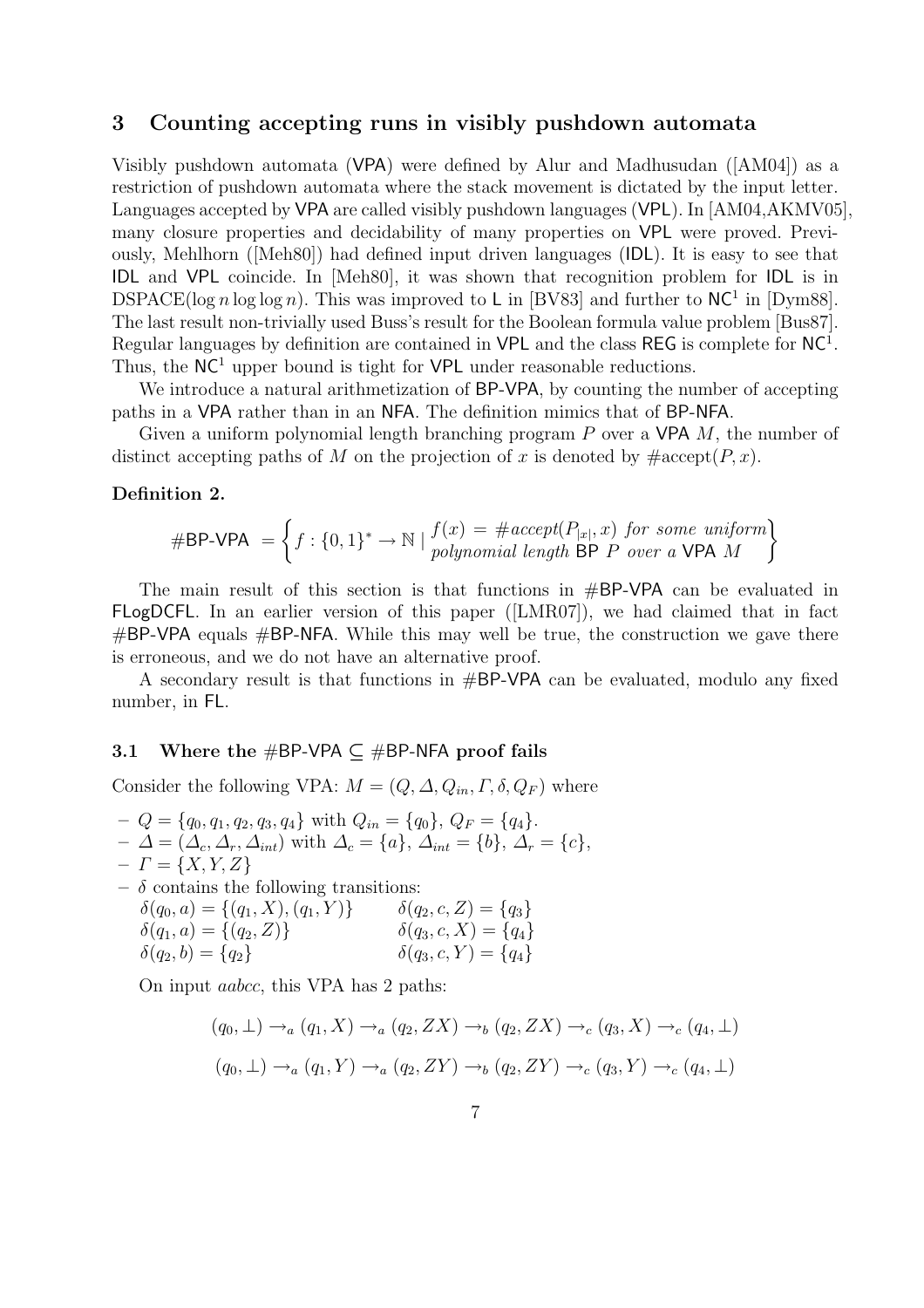## 3 Counting accepting runs in visibly pushdown automata

Visibly pushdown automata (VPA) were defined by Alur and Madhusudan ([AM04]) as a restriction of pushdown automata where the stack movement is dictated by the input letter. Languages accepted by VPA are called visibly pushdown languages (VPL). In [AM04,AKMV05], many closure properties and decidability of many properties on VPL were proved. Previously, Mehlhorn ([Meh80]) had defined input driven languages (IDL). It is easy to see that IDL and VPL coincide. In [Meh80], it was shown that recognition problem for IDL is in DSPACE( $\log n \log \log n$ ). This was improved to L in [BV83] and further to NC<sup>1</sup> in [Dym88]. The last result non-trivially used Buss's result for the Boolean formula value problem [Bus87]. Regular languages by definition are contained in  $VPL$  and the class REG is complete for  $NC<sup>1</sup>$ . Thus, the  $NC<sup>1</sup>$  upper bound is tight for  $VPL$  under reasonable reductions.

We introduce a natural arithmetization of BP-VPA, by counting the number of accepting paths in a VPA rather than in an NFA. The definition mimics that of BP-NFA.

Given a uniform polynomial length branching program  $P$  over a VPA  $M$ , the number of distinct accepting paths of M on the projection of x is denoted by  $\#\text{accept}(P, x)$ .

#### Definition 2.

$$
\#BP\text{-}VPA = \left\{ f : \{0,1\}^* \to \mathbb{N} \mid \begin{matrix} f(x) = \# accept(P_{|x|}, x) \text{ for some uniform} \\ polynomial \text{ length BP } P \text{ over a VPA } M \end{matrix} \right\}
$$

The main result of this section is that functions in #BP-VPA can be evaluated in FLogDCFL. In an earlier version of this paper ([LMR07]), we had claimed that in fact  $#BP-VPA$  equals  $#BP-NFA$ . While this may well be true, the construction we gave there is erroneous, and we do not have an alternative proof.

A secondary result is that functions in #BP-VPA can be evaluated, modulo any fixed number, in FL.

#### 3.1 Where the #BP-VPA  $\subset$  #BP-NFA proof fails

Consider the following VPA:  $M = (Q, \Delta, Q_{in}, \Gamma, \delta, Q_F)$  where

- $-Q = \{q_0, q_1, q_2, q_3, q_4\}$  with  $Q_{in} = \{q_0\}, Q_F = \{q_4\}.$  $-\Delta = (\Delta_c, \Delta_r, \Delta_{int})$  with  $\Delta_c = \{a\}, \Delta_{int} = \{b\}, \Delta_r = \{c\},\$  $-I = \{X, Y, Z\}$
- $\delta$  contains the following transitions:  $\delta(q_0, a) = \{(q_1, X), (q_1, Y)\}\qquad \delta(q_2, c, Z) = \{q_3\}$  $\delta(q_1, a) = \{(q_2, Z)\}\$   $\delta(q_3, c, X) = \{q_4\}$ 
	- $\delta(q_2, b) = \{q_2\}$   $\delta(q_3, c, Y) = \{q_4\}$

On input aabcc, this VPA has 2 paths:

$$
(q_0, \perp) \rightarrow_a (q_1, X) \rightarrow_a (q_2, ZX) \rightarrow_b (q_2, ZX) \rightarrow_c (q_3, X) \rightarrow_c (q_4, \perp)
$$
  

$$
(q_0, \perp) \rightarrow_a (q_1, Y) \rightarrow_a (q_2, ZY) \rightarrow_b (q_2, ZY) \rightarrow_c (q_3, Y) \rightarrow_c (q_4, \perp)
$$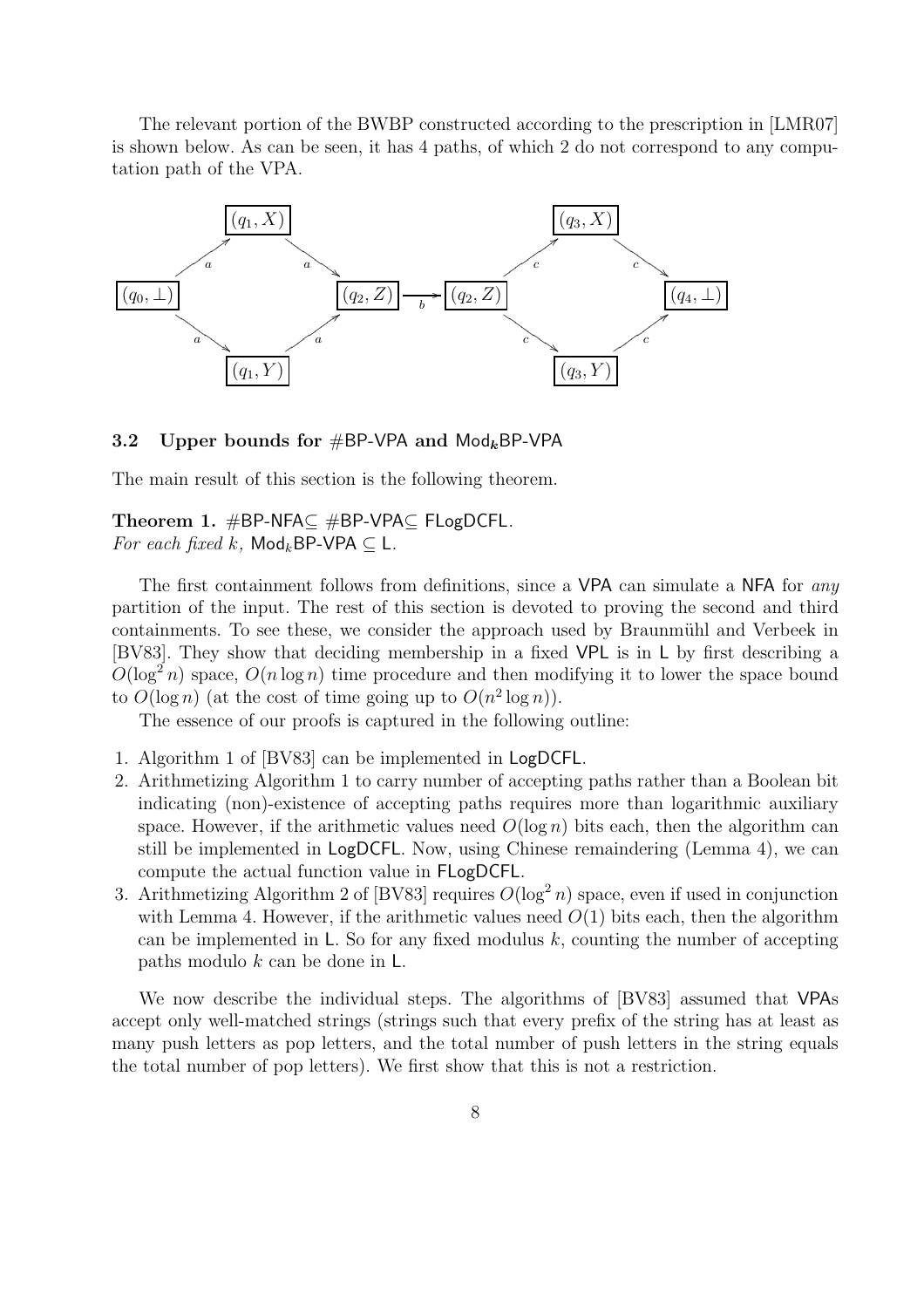The relevant portion of the BWBP constructed according to the prescription in [LMR07] is shown below. As can be seen, it has 4 paths, of which 2 do not correspond to any computation path of the VPA.



#### 3.2 Upper bounds for #BP-VPA and  $\text{Mod}_k$ BP-VPA

The main result of this section is the following theorem.

Theorem 1. #BP-NFA⊆ #BP-VPA⊆ FLogDCFL. For each fixed k,  $\textsf{Mod}_k$ BP-VPA  $\subset \mathsf{L}$ .

The first containment follows from definitions, since a VPA can simulate a NFA for any partition of the input. The rest of this section is devoted to proving the second and third containments. To see these, we consider the approach used by Braunmühl and Verbeek in [BV83]. They show that deciding membership in a fixed VPL is in L by first describing a  $O(\log^2 n)$  space,  $O(n \log n)$  time procedure and then modifying it to lower the space bound to  $O(\log n)$  (at the cost of time going up to  $O(n^2 \log n)$ ).

The essence of our proofs is captured in the following outline:

- 1. Algorithm 1 of [BV83] can be implemented in LogDCFL.
- 2. Arithmetizing Algorithm 1 to carry number of accepting paths rather than a Boolean bit indicating (non)-existence of accepting paths requires more than logarithmic auxiliary space. However, if the arithmetic values need  $O(\log n)$  bits each, then the algorithm can still be implemented in LogDCFL. Now, using Chinese remaindering (Lemma 4), we can compute the actual function value in FLogDCFL.
- 3. Arithmetizing Algorithm 2 of [BV83] requires  $O(\log^2 n)$  space, even if used in conjunction with Lemma 4. However, if the arithmetic values need  $O(1)$  bits each, then the algorithm can be implemented in  $\mathsf{L}$ . So for any fixed modulus k, counting the number of accepting paths modulo k can be done in L.

We now describe the individual steps. The algorithms of [BV83] assumed that VPAs accept only well-matched strings (strings such that every prefix of the string has at least as many push letters as pop letters, and the total number of push letters in the string equals the total number of pop letters). We first show that this is not a restriction.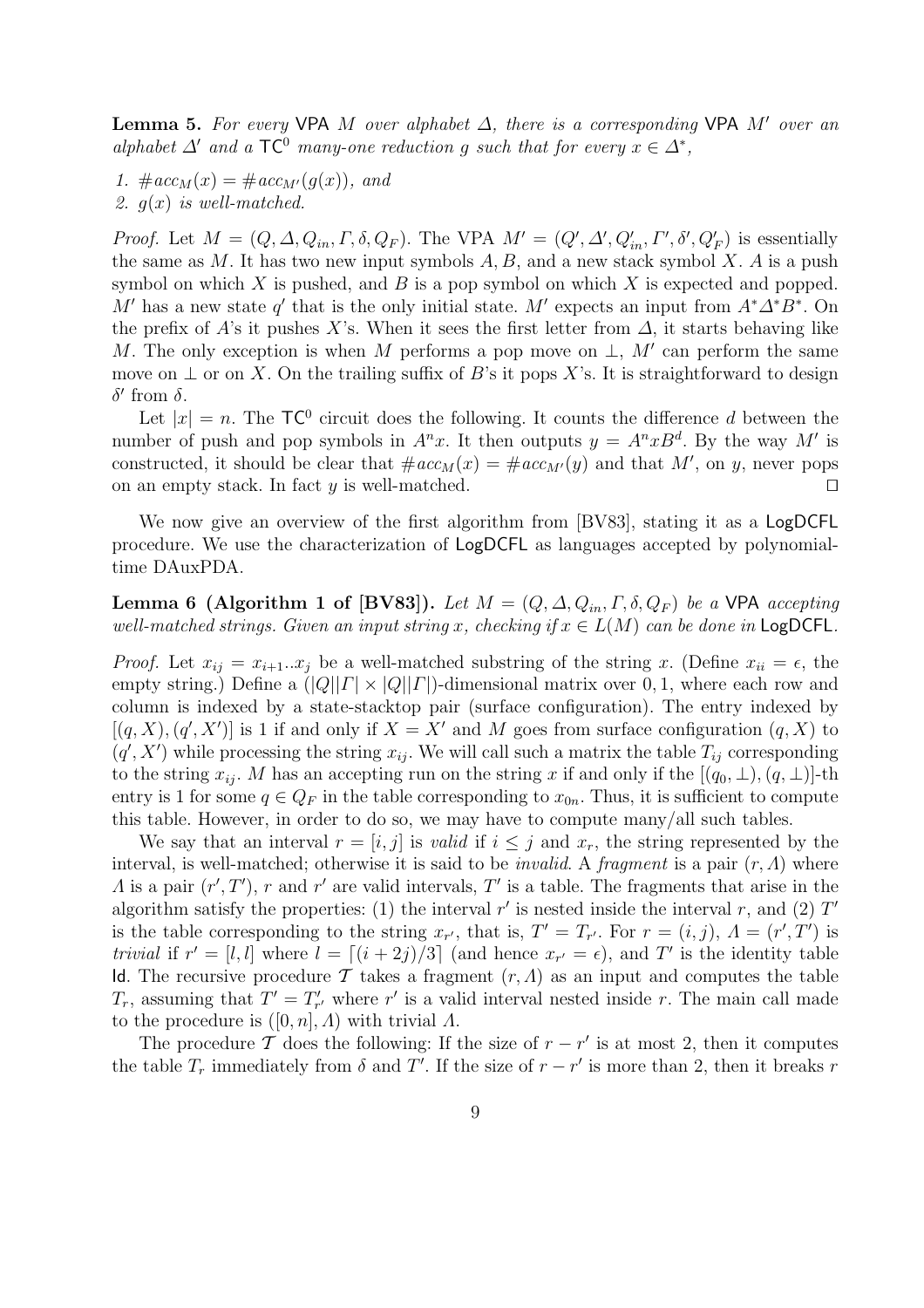**Lemma 5.** For every VPA M over alphabet  $\Delta$ , there is a corresponding VPA M' over an alphabet  $\Delta'$  and a TC<sup>0</sup> many-one reduction g such that for every  $x \in \Delta^*$ ,

1.  $\#acc_M(x) = \#acc_{M'}(q(x))$ , and 2.  $g(x)$  is well-matched.

*Proof.* Let  $M = (Q, \Delta, Q_{in}, \Gamma, \delta, Q_F)$ . The VPA  $M' = (Q', \Delta', Q'_{in}, \Gamma', \delta', Q'_F)$  is essentially the same as  $M$ . It has two new input symbols  $A, B$ , and a new stack symbol  $X$ . A is a push symbol on which  $X$  is pushed, and  $B$  is a pop symbol on which  $X$  is expected and popped. M' has a new state q' that is the only initial state. M' expects an input from  $A^*\Delta^*B^*$ . On the prefix of A's it pushes X's. When it sees the first letter from  $\Delta$ , it starts behaving like M. The only exception is when M performs a pop move on  $\perp$ , M' can perform the same move on  $\perp$  or on X. On the trailing suffix of B's it pops X's. It is straightforward to design  $\delta'$  from δ.

Let  $|x| = n$ . The  $TC^0$  circuit does the following. It counts the difference d between the number of push and pop symbols in  $A^n x$ . It then outputs  $y = A^n x B^d$ . By the way M' is constructed, it should be clear that  $\#acc_M(x) = \#acc_{M'}(y)$  and that M', on y, never pops on an empty stack. In fact  $y$  is well-matched.

We now give an overview of the first algorithm from [BV83], stating it as a LogDCFL procedure. We use the characterization of LogDCFL as languages accepted by polynomialtime DAuxPDA.

Lemma 6 (Algorithm 1 of [BV83]). Let  $M = (Q, \Delta, Q_{in}, \Gamma, \delta, Q_F)$  be a VPA accepting well-matched strings. Given an input string x, checking if  $x \in L(M)$  can be done in LogDCFL.

*Proof.* Let  $x_{ij} = x_{i+1}...x_j$  be a well-matched substring of the string x. (Define  $x_{ii} = \epsilon$ , the empty string.) Define a  $(|Q||T| \times |Q||T|)$ -dimensional matrix over 0, 1, where each row and column is indexed by a state-stacktop pair (surface configuration). The entry indexed by  $[(q, X), (q', X')]$  is 1 if and only if  $X = X'$  and M goes from surface configuration  $(q, X)$  to  $(q', X')$  while processing the string  $x_{ij}$ . We will call such a matrix the table  $T_{ij}$  corresponding to the string  $x_{ij}$ . M has an accepting run on the string x if and only if the  $[(q_0, \perp), (q, \perp)]$ -th entry is 1 for some  $q \in Q_F$  in the table corresponding to  $x_{0n}$ . Thus, it is sufficient to compute this table. However, in order to do so, we may have to compute many/all such tables.

We say that an interval  $r = [i, j]$  is valid if  $i \leq j$  and  $x_r$ , the string represented by the interval, is well-matched; otherwise it is said to be *invalid*. A *fragment* is a pair  $(r, \Lambda)$  where A is a pair  $(r', T')$ , r and r' are valid intervals, T' is a table. The fragments that arise in the algorithm satisfy the properties: (1) the interval  $r'$  is nested inside the interval  $r$ , and (2)  $T'$ is the table corresponding to the string  $x_{r'}$ , that is,  $T' = T_{r'}$ . For  $r = (i, j)$ ,  $\Lambda = (r', T')$  is trivial if  $r' = [l, l]$  where  $l = \lfloor (i + 2j)/3 \rfloor$  (and hence  $x_{r'} = \epsilon$ ), and T' is the identity table Id. The recursive procedure T takes a fragment  $(r, \Lambda)$  as an input and computes the table  $T_r$ , assuming that  $T' = T'_{r'}$  where r' is a valid interval nested inside r. The main call made to the procedure is  $([0, n], \Lambda)$  with trivial  $\Lambda$ .

The procedure T does the following: If the size of  $r - r'$  is at most 2, then it computes the table  $T_r$  immediately from  $\delta$  and  $T'$ . If the size of  $r - r'$  is more than 2, then it breaks r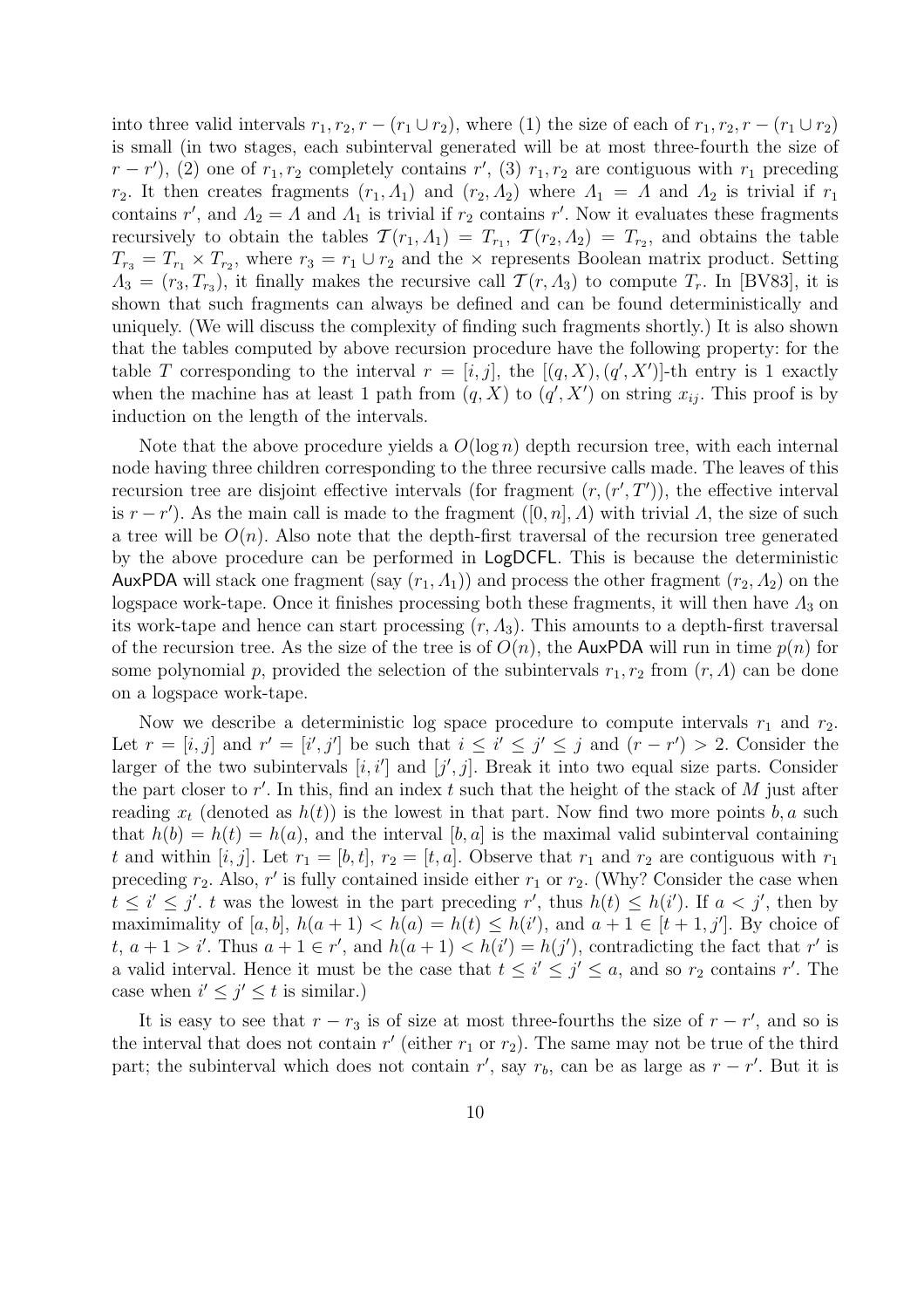into three valid intervals  $r_1, r_2, r - (r_1 \cup r_2)$ , where (1) the size of each of  $r_1, r_2, r - (r_1 \cup r_2)$ is small (in two stages, each subinterval generated will be at most three-fourth the size of  $(r - r')$ , (2) one of  $r_1, r_2$  completely contains r', (3)  $r_1, r_2$  are contiguous with  $r_1$  preceding r<sub>2</sub>. It then creates fragments  $(r_1, \Lambda_1)$  and  $(r_2, \Lambda_2)$  where  $\Lambda_1 = \Lambda$  and  $\Lambda_2$  is trivial if  $r_1$ contains r', and  $\Lambda_2 = \Lambda$  and  $\Lambda_1$  is trivial if  $r_2$  contains r'. Now it evaluates these fragments recursively to obtain the tables  $\mathcal{T}(r_1, \Lambda_1) = T_{r_1}, \ \mathcal{T}(r_2, \Lambda_2) = T_{r_2}$ , and obtains the table  $T_{r_3} = T_{r_1} \times T_{r_2}$ , where  $r_3 = r_1 \cup r_2$  and the  $\times$  represents Boolean matrix product. Setting  $\Lambda_3 = (r_3, T_{r_3})$ , it finally makes the recursive call  $\mathcal{T}(r, \Lambda_3)$  to compute  $T_r$ . In [BV83], it is shown that such fragments can always be defined and can be found deterministically and uniquely. (We will discuss the complexity of finding such fragments shortly.) It is also shown that the tables computed by above recursion procedure have the following property: for the table T corresponding to the interval  $r = [i, j]$ , the  $[(q, X), (q', X')]$ -th entry is 1 exactly when the machine has at least 1 path from  $(q, X)$  to  $(q', X')$  on string  $x_{ij}$ . This proof is by induction on the length of the intervals.

Note that the above procedure yields a  $O(\log n)$  depth recursion tree, with each internal node having three children corresponding to the three recursive calls made. The leaves of this recursion tree are disjoint effective intervals (for fragment  $(r, (r', T'))$ , the effective interval is  $r - r'$ ). As the main call is made to the fragment  $([0, n], \Lambda)$  with trivial  $\Lambda$ , the size of such a tree will be  $O(n)$ . Also note that the depth-first traversal of the recursion tree generated by the above procedure can be performed in LogDCFL. This is because the deterministic AuxPDA will stack one fragment (say  $(r_1, \Lambda_1)$ ) and process the other fragment  $(r_2, \Lambda_2)$  on the logspace work-tape. Once it finishes processing both these fragments, it will then have  $\Lambda_3$  on its work-tape and hence can start processing  $(r, \Lambda_3)$ . This amounts to a depth-first traversal of the recursion tree. As the size of the tree is of  $O(n)$ , the AuxPDA will run in time  $p(n)$  for some polynomial p, provided the selection of the subintervals  $r_1, r_2$  from  $(r, \Lambda)$  can be done on a logspace work-tape.

Now we describe a deterministic log space procedure to compute intervals  $r_1$  and  $r_2$ . Let  $r = [i, j]$  and  $r' = [i', j']$  be such that  $i \leq i' \leq j' \leq j$  and  $(r - r') > 2$ . Consider the larger of the two subintervals  $[i, i']$  and  $[j', j]$ . Break it into two equal size parts. Consider the part closer to  $r'$ . In this, find an index  $t$  such that the height of the stack of  $M$  just after reading  $x_t$  (denoted as  $h(t)$ ) is the lowest in that part. Now find two more points b, a such that  $h(b) = h(t) = h(a)$ , and the interval [b, a] is the maximal valid subinterval containing t and within  $[i, j]$ . Let  $r_1 = [b, t]$ ,  $r_2 = [t, a]$ . Observe that  $r_1$  and  $r_2$  are contiguous with  $r_1$ preceding  $r_2$ . Also, r' is fully contained inside either  $r_1$  or  $r_2$ . (Why? Consider the case when  $t \leq i' \leq j'$ , t was the lowest in the part preceding r', thus  $h(t) \leq h(i')$ . If  $a < j'$ , then by maximimality of [a, b],  $h(a + 1) < h(a) = h(t) \leq h(i')$ , and  $a + 1 \in [t + 1, j']$ . By choice of t,  $a + 1 > i'$ . Thus  $a + 1 \in r'$ , and  $h(a + 1) < h(i') = h(j')$ , contradicting the fact that r' is a valid interval. Hence it must be the case that  $t \leq i' \leq j' \leq a$ , and so  $r_2$  contains r'. The case when  $i' \leq j' \leq t$  is similar.)

It is easy to see that  $r - r_3$  is of size at most three-fourths the size of  $r - r'$ , and so is the interval that does not contain  $r'$  (either  $r_1$  or  $r_2$ ). The same may not be true of the third part; the subinterval which does not contain r', say  $r_b$ , can be as large as  $r - r'$ . But it is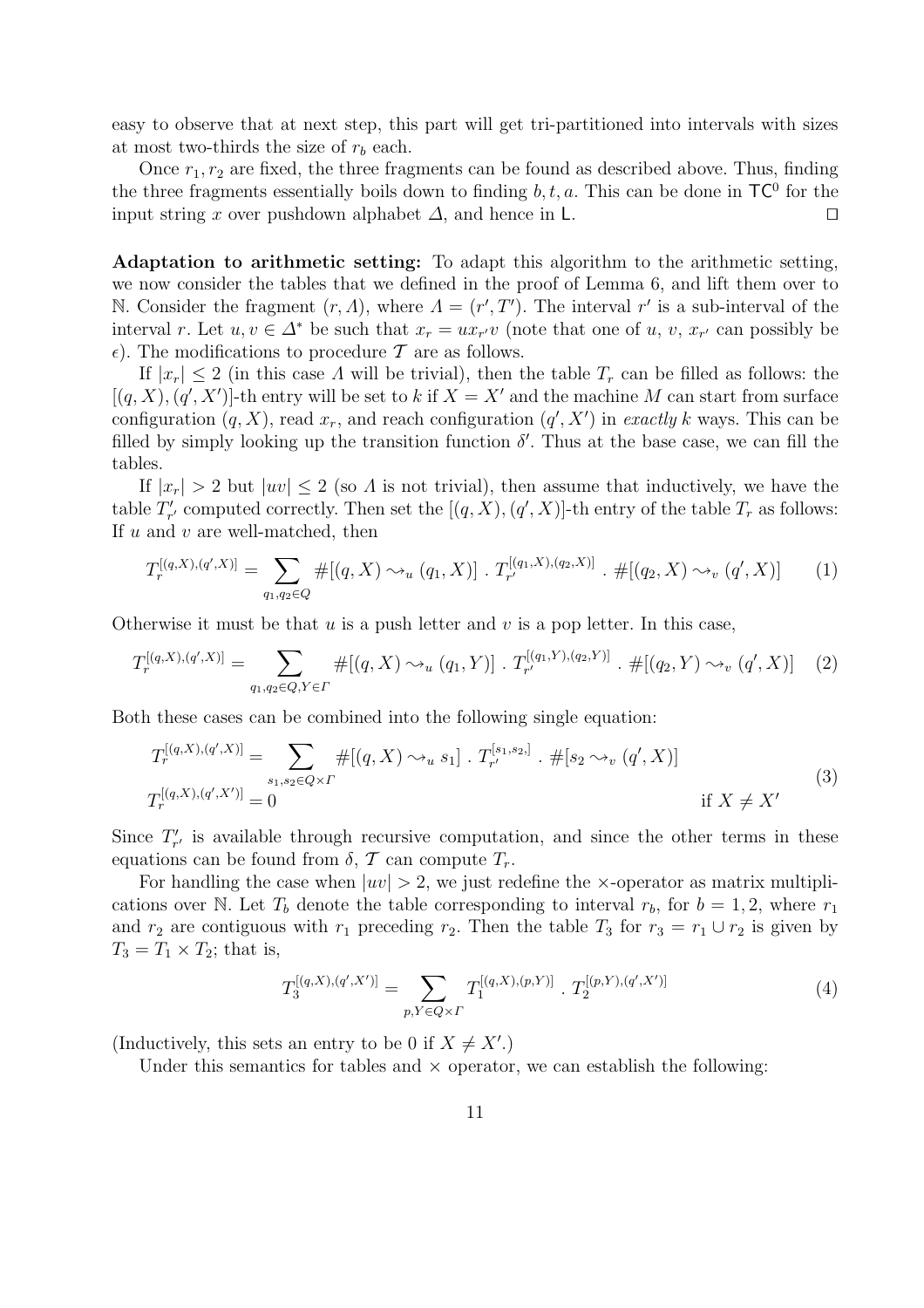easy to observe that at next step, this part will get tri-partitioned into intervals with sizes at most two-thirds the size of  $r_b$  each.

Once  $r_1, r_2$  are fixed, the three fragments can be found as described above. Thus, finding the three fragments essentially boils down to finding  $b, t, a$ . This can be done in  $TC^0$  for the input string x over pushdown alphabet  $\Delta$ , and hence in L.  $\Box$ 

Adaptation to arithmetic setting: To adapt this algorithm to the arithmetic setting, we now consider the tables that we defined in the proof of Lemma 6, and lift them over to N. Consider the fragment  $(r, \Lambda)$ , where  $\Lambda = (r', T')$ . The interval  $r'$  is a sub-interval of the interval r. Let  $u, v \in \Delta^*$  be such that  $x_r = ux_{r}$  (note that one of  $u, v, x_{r}$  can possibly be  $\epsilon$ ). The modifications to procedure T are as follows.

If  $|x_r| \leq 2$  (in this case A will be trivial), then the table  $T_r$  can be filled as follows: the  $[(q, X), (q', X')]$ -th entry will be set to k if  $X = X'$  and the machine M can start from surface configuration  $(q, X)$ , read  $x_r$ , and reach configuration  $(q', X')$  in exactly k ways. This can be filled by simply looking up the transition function  $\delta'$ . Thus at the base case, we can fill the tables.

If  $|x_r| > 2$  but  $|uv| \le 2$  (so  $\Lambda$  is not trivial), then assume that inductively, we have the table  $T'_{r'}$  computed correctly. Then set the  $[(q, X), (q', X)]$ -th entry of the table  $T_r$  as follows: If  $u$  and  $v$  are well-matched, then

$$
T_r^{[(q,X),(q',X)]} = \sum_{q_1,q_2 \in Q} \#[(q,X) \sim_u (q_1,X)] \cdot T_{r'}^{[(q_1,X),(q_2,X)]} \cdot \#[(q_2,X) \sim_v (q',X)] \tag{1}
$$

Otherwise it must be that  $u$  is a push letter and  $v$  is a pop letter. In this case,

$$
T_r^{[(q,X),(q',X)]} = \sum_{q_1,q_2 \in Q, Y \in \Gamma} \#[(q,X) \sim_u (q_1, Y)] \cdot T_{r'}^{[(q_1,Y),(q_2,Y)]} \cdot \#[(q_2, Y) \sim_v (q', X)] \tag{2}
$$

Both these cases can be combined into the following single equation:

$$
T_r^{[(q,X),(q',X)]} = \sum_{s_1,s_2 \in Q \times \Gamma} \#[(q,X) \leadsto_u s_1] \cdot T_{r'}^{[s_1,s_2,]} \cdot \#[s_2 \leadsto_v (q',X)]
$$
  
\n
$$
T_r^{[(q,X),(q',X')]} = 0
$$
\n
$$
(3)
$$

Since  $T'_{r'}$  is available through recursive computation, and since the other terms in these equations can be found from  $\delta$ ,  $\mathcal T$  can compute  $T_r$ .

For handling the case when  $|uv| > 2$ , we just redefine the x-operator as matrix multiplications over N. Let  $T_b$  denote the table corresponding to interval  $r_b$ , for  $b = 1, 2$ , where  $r_1$ and  $r_2$  are contiguous with  $r_1$  preceding  $r_2$ . Then the table  $T_3$  for  $r_3 = r_1 \cup r_2$  is given by  $T_3 = T_1 \times T_2$ ; that is,

$$
T_3^{[(q,X),(q',X')]}\n = \sum_{p,Y \in Q \times \Gamma} T_1^{[(q,X),(p,Y)]} \cdot T_2^{[(p,Y),(q',X')]}\n \tag{4}
$$

(Inductively, this sets an entry to be 0 if  $X \neq X'$ .)

Under this semantics for tables and  $\times$  operator, we can establish the following: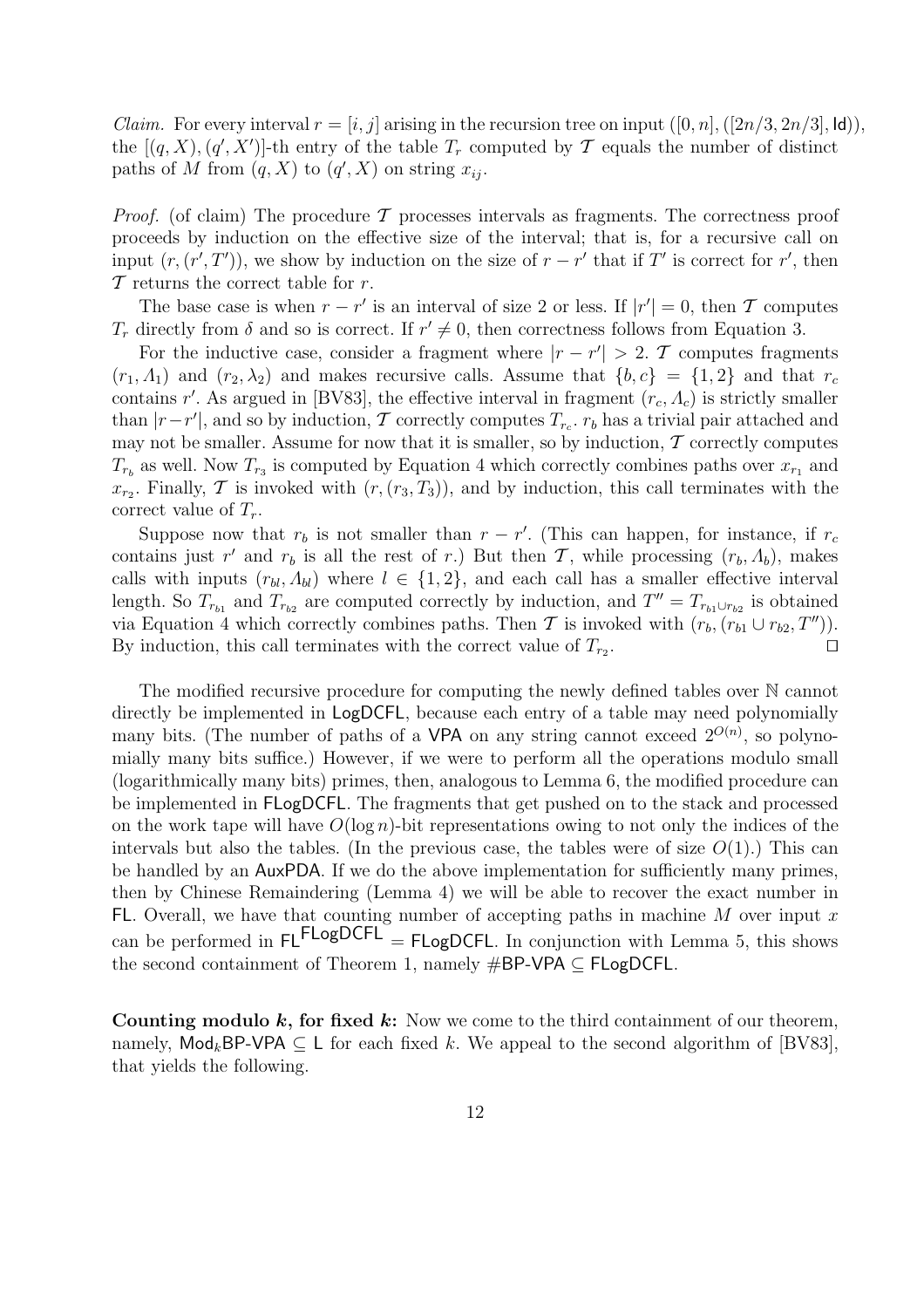*Claim.* For every interval  $r = [i, j]$  arising in the recursion tree on input  $([0, n], ([2n/3, 2n/3], \text{Id})),$ the  $[(q, X), (q', X')]$ -th entry of the table  $T_r$  computed by  $\mathcal T$  equals the number of distinct paths of M from  $(q, X)$  to  $(q', X)$  on string  $x_{ij}$ .

*Proof.* (of claim) The procedure  $\mathcal T$  processes intervals as fragments. The correctness proof proceeds by induction on the effective size of the interval; that is, for a recursive call on input  $(r, (r', T'))$ , we show by induction on the size of  $r - r'$  that if T' is correct for r', then  $\mathcal T$  returns the correct table for r.

The base case is when  $r - r'$  is an interval of size 2 or less. If  $|r'| = 0$ , then T computes  $T_r$  directly from  $\delta$  and so is correct. If  $r' \neq 0$ , then correctness follows from Equation 3.

For the inductive case, consider a fragment where  $|r - r'| > 2$ . T computes fragments  $(r_1, \Lambda_1)$  and  $(r_2, \lambda_2)$  and makes recursive calls. Assume that  $\{b, c\} = \{1, 2\}$  and that  $r_c$ contains r'. As argued in [BV83], the effective interval in fragment  $(r_c, \Lambda_c)$  is strictly smaller than  $|r-r'|$ , and so by induction, T correctly computes  $T_{r_c}$ .  $r_b$  has a trivial pair attached and may not be smaller. Assume for now that it is smaller, so by induction,  $\mathcal T$  correctly computes  $T_{r_b}$  as well. Now  $T_{r_3}$  is computed by Equation 4 which correctly combines paths over  $x_{r_1}$  and  $x_{r_2}$ . Finally, T is invoked with  $(r,(r_3,T_3))$ , and by induction, this call terminates with the correct value of  $T_r$ .

Suppose now that  $r_b$  is not smaller than  $r - r'$ . (This can happen, for instance, if  $r_c$ contains just r' and  $r_b$  is all the rest of r.) But then T, while processing  $(r_b, \Lambda_b)$ , makes calls with inputs  $(r_{bl}, \Lambda_{bl})$  where  $l \in \{1, 2\}$ , and each call has a smaller effective interval length. So  $T_{r_{b1}}$  and  $T_{r_{b2}}$  are computed correctly by induction, and  $T'' = T_{r_{b1} \cup r_{b2}}$  is obtained via Equation 4 which correctly combines paths. Then T is invoked with  $(r_b,(r_{b1} \cup r_{b2},T''))$ . By induction, this call terminates with the correct value of  $T_{r_2}$ . . The contract of the contract  $\Box$ 

The modified recursive procedure for computing the newly defined tables over N cannot directly be implemented in LogDCFL, because each entry of a table may need polynomially many bits. (The number of paths of a VPA on any string cannot exceed  $2^{O(n)}$ , so polynomially many bits suffice.) However, if we were to perform all the operations modulo small (logarithmically many bits) primes, then, analogous to Lemma 6, the modified procedure can be implemented in FLogDCFL. The fragments that get pushed on to the stack and processed on the work tape will have  $O(\log n)$ -bit representations owing to not only the indices of the intervals but also the tables. (In the previous case, the tables were of size  $O(1)$ .) This can be handled by an AuxPDA. If we do the above implementation for sufficiently many primes, then by Chinese Remaindering (Lemma 4) we will be able to recover the exact number in FL. Overall, we have that counting number of accepting paths in machine  $M$  over input  $x$ can be performed in  $FLFLogDCFL = FLogDCFL$ . In conjunction with Lemma 5, this shows the second containment of Theorem 1, namely #BP-VPA ⊆ FLogDCFL.

Counting modulo  $k$ , for fixed  $k$ : Now we come to the third containment of our theorem, namely,  $\text{Mod}_k$ BP-VPA  $\subseteq L$  for each fixed k. We appeal to the second algorithm of [BV83], that yields the following.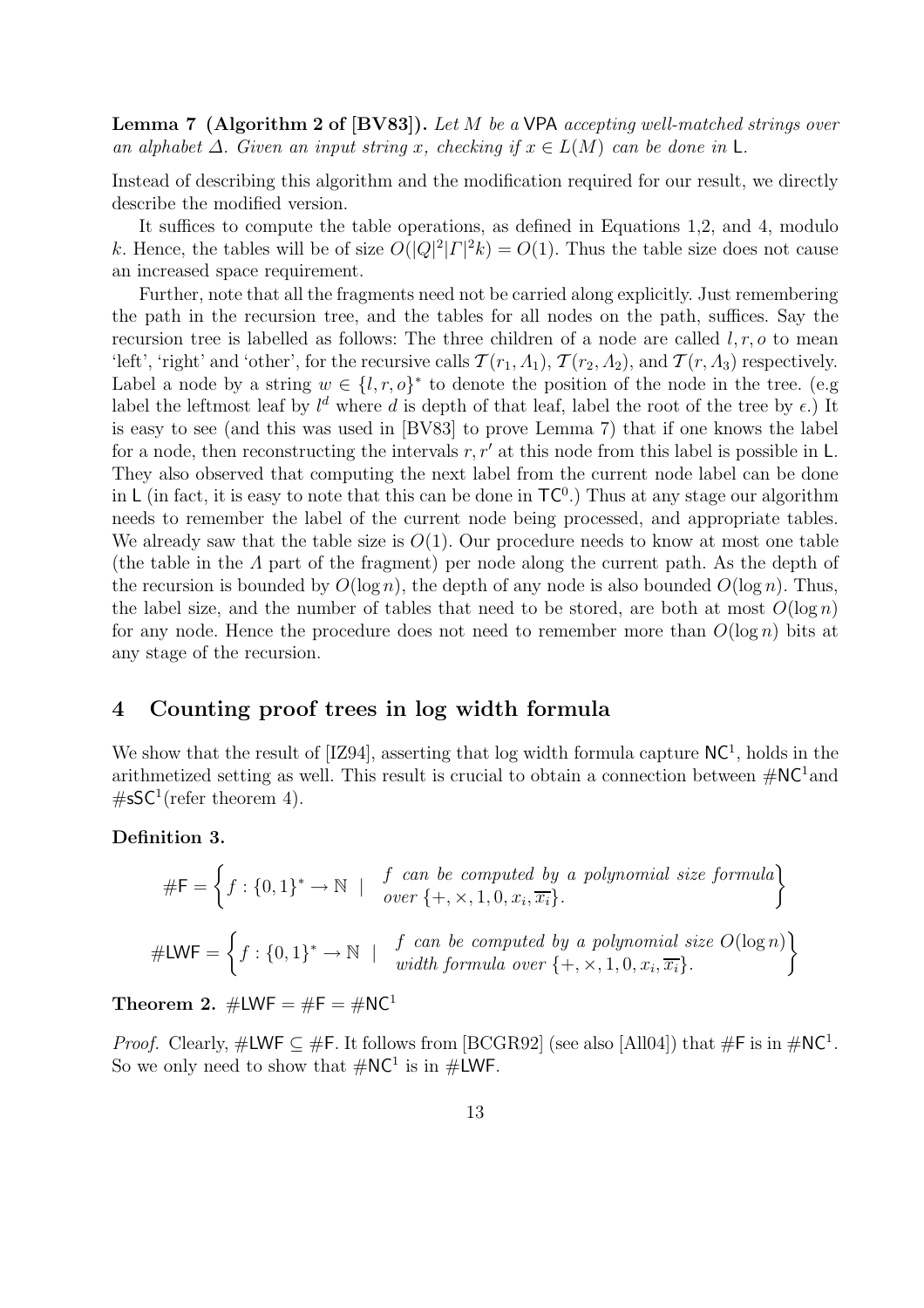Lemma 7 (Algorithm 2 of [BV83]). Let M be a VPA accepting well-matched strings over an alphabet  $\Delta$ . Given an input string x, checking if  $x \in L(M)$  can be done in L.

Instead of describing this algorithm and the modification required for our result, we directly describe the modified version.

It suffices to compute the table operations, as defined in Equations 1,2, and 4, modulo k. Hence, the tables will be of size  $O(|Q|^2 |T|^2 k) = O(1)$ . Thus the table size does not cause an increased space requirement.

Further, note that all the fragments need not be carried along explicitly. Just remembering the path in the recursion tree, and the tables for all nodes on the path, suffices. Say the recursion tree is labelled as follows: The three children of a node are called  $l, r, o$  to mean 'left', 'right' and 'other', for the recursive calls  $\mathcal{T}(r_1, \Lambda_1)$ ,  $\mathcal{T}(r_2, \Lambda_2)$ , and  $\mathcal{T}(r, \Lambda_3)$  respectively. Label a node by a string  $w \in \{l, r, o\}^*$  to denote the position of the node in the tree. (e.g label the leftmost leaf by  $l^d$  where d is depth of that leaf, label the root of the tree by  $\epsilon$ .) It is easy to see (and this was used in [BV83] to prove Lemma 7) that if one knows the label for a node, then reconstructing the intervals r,  $r'$  at this node from this label is possible in L. They also observed that computing the next label from the current node label can be done in L (in fact, it is easy to note that this can be done in  $TC^0$ .) Thus at any stage our algorithm needs to remember the label of the current node being processed, and appropriate tables. We already saw that the table size is  $O(1)$ . Our procedure needs to know at most one table (the table in the Λ part of the fragment) per node along the current path. As the depth of the recursion is bounded by  $O(\log n)$ , the depth of any node is also bounded  $O(\log n)$ . Thus, the label size, and the number of tables that need to be stored, are both at most  $O(\log n)$ for any node. Hence the procedure does not need to remember more than  $O(\log n)$  bits at any stage of the recursion.

## 4 Counting proof trees in log width formula

We show that the result of  $[IZ94]$ , asserting that log width formula capture  $NC^1$ , holds in the arithmetized setting as well. This result is crucial to obtain a connection between  $\#\text{NC}^1$  and  $\#$ sSC<sup>1</sup>(refer theorem 4).

#### Definition 3.

$$
\#F = \left\{ f : \{0,1\}^* \to \mathbb{N} \mid \begin{array}{c} f \text{ can be computed by a polynomial size formula} \\ over \{+, \times, 1, 0, x_i, \overline{x_i}\}. \end{array} \right\}
$$

$$
\#LWF = \left\{ f : \{0,1\}^* \to \mathbb{N} \mid \begin{array}{c} f \text{ can be computed by a polynomial size } O(\log n) \\ width \text{ formula over } \{+, \times, 1, 0, x_i, \overline{x_i}\}. \end{array} \right\}
$$

Theorem 2.  $\#LWF = \#F = \#NC^1$ 

*Proof.* Clearly,  $\#\textsf{LWF} \subseteq \#\textsf{F}$ . It follows from [BCGR92] (see also [All04]) that  $\#\textsf{F}$  is in  $\#\textsf{NC}^1$ . So we only need to show that  $\#\text{NC}^1$  is in  $\#\text{LWF}$ .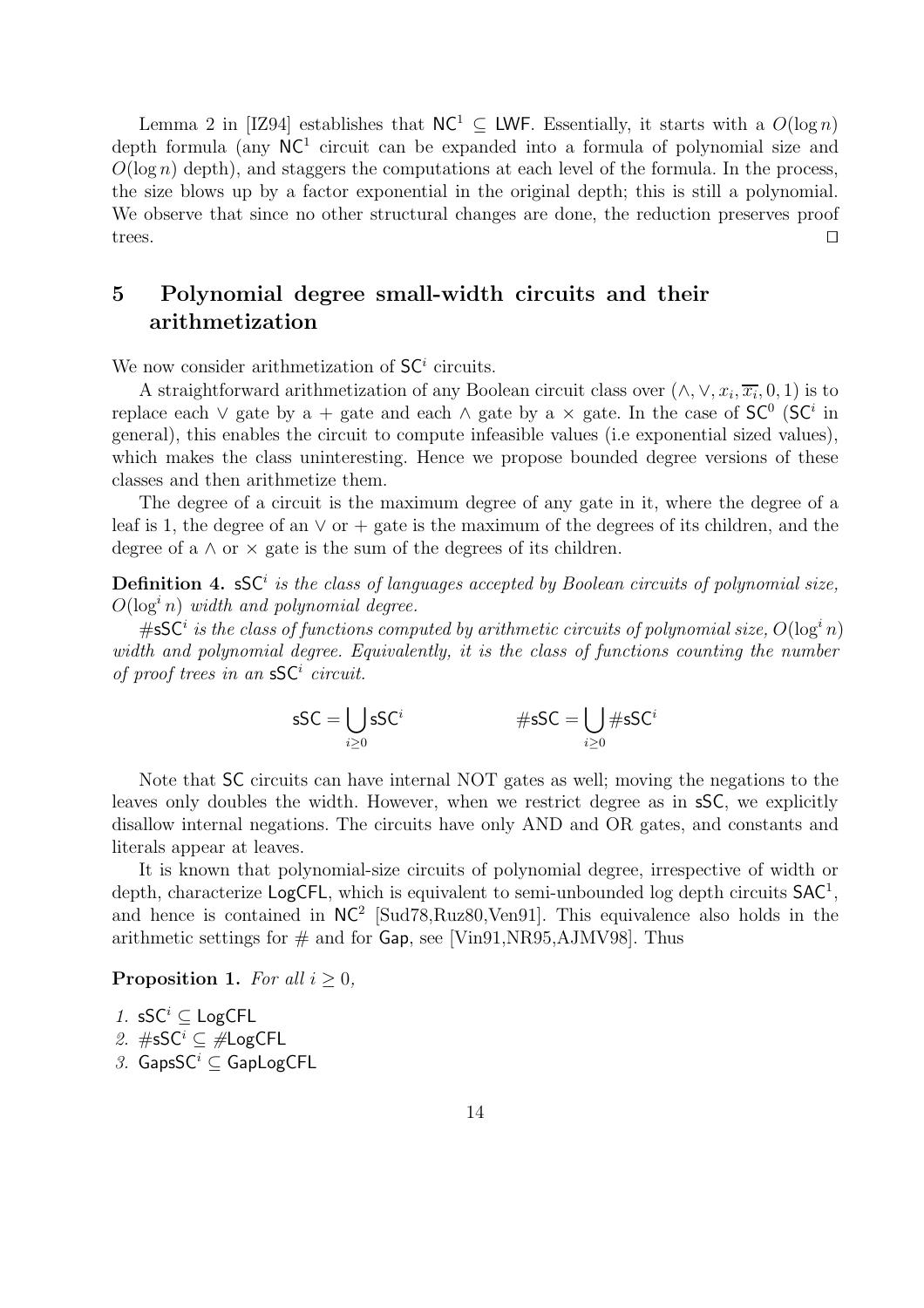Lemma 2 in [IZ94] establishes that  $NC^1 \subset LWF$ . Essentially, it starts with a  $O(\log n)$ depth formula (any  $NC<sup>1</sup>$  circuit can be expanded into a formula of polynomial size and  $O(\log n)$  depth), and staggers the computations at each level of the formula. In the process, the size blows up by a factor exponential in the original depth; this is still a polynomial. We observe that since no other structural changes are done, the reduction preserves proof trees.  $\square$ 

# 5 Polynomial degree small-width circuits and their arithmetization

We now consider arithmetization of  $SC<sup>i</sup>$  circuits.

A straightforward arithmetization of any Boolean circuit class over  $(\wedge, \vee, x_i, \overline{x_i}, 0, 1)$  is to replace each  $\vee$  gate by a + gate and each  $\wedge$  gate by a  $\times$  gate. In the case of  $SC^0$  (SC<sup>i</sup> in general), this enables the circuit to compute infeasible values (i.e exponential sized values), which makes the class uninteresting. Hence we propose bounded degree versions of these classes and then arithmetize them.

The degree of a circuit is the maximum degree of any gate in it, where the degree of a leaf is 1, the degree of an  $\vee$  or + gate is the maximum of the degrees of its children, and the degree of a  $\wedge$  or  $\times$  gate is the sum of the degrees of its children.

**Definition 4.**  $\mathsf{sSC}^i$  is the class of languages accepted by Boolean circuits of polynomial size,  $O(\log^n n)$  width and polynomial degree.

# $\mathsf{s}\mathsf{SC}^i$  is the class of functions computed by arithmetic circuits of polynomial size,  $O(\log^i n)$ width and polynomial degree. Equivalently, it is the class of functions counting the number of proof trees in an  $\mathsf{sSC}^i$  circuit.

$$
\mathsf{sSC} = \bigcup_{i \geq 0} \mathsf{sSC}^i \qquad \qquad \# \mathsf{sSC} = \bigcup_{i \geq 0} \# \mathsf{sSC}^i
$$

Note that SC circuits can have internal NOT gates as well; moving the negations to the leaves only doubles the width. However, when we restrict degree as in sSC, we explicitly disallow internal negations. The circuits have only AND and OR gates, and constants and literals appear at leaves.

It is known that polynomial-size circuits of polynomial degree, irrespective of width or depth, characterize LogCFL, which is equivalent to semi-unbounded log depth circuits  $SAC<sup>1</sup>$ , and hence is contained in  $NC^2$  [Sud78, Ruz80, Ven91]. This equivalence also holds in the arithmetic settings for  $\#$  and for Gap, see [Vin91,NR95,AJMV98]. Thus

**Proposition 1.** For all  $i > 0$ ,

1. sSC<sup>i</sup>  $\subseteq$  LogCFL

- 2.  $#$ sSC<sup>*i*</sup> ⊆  $#$ LogCFL
- 3. GapsSC<sup>*i*</sup> ⊂ GapLogCFL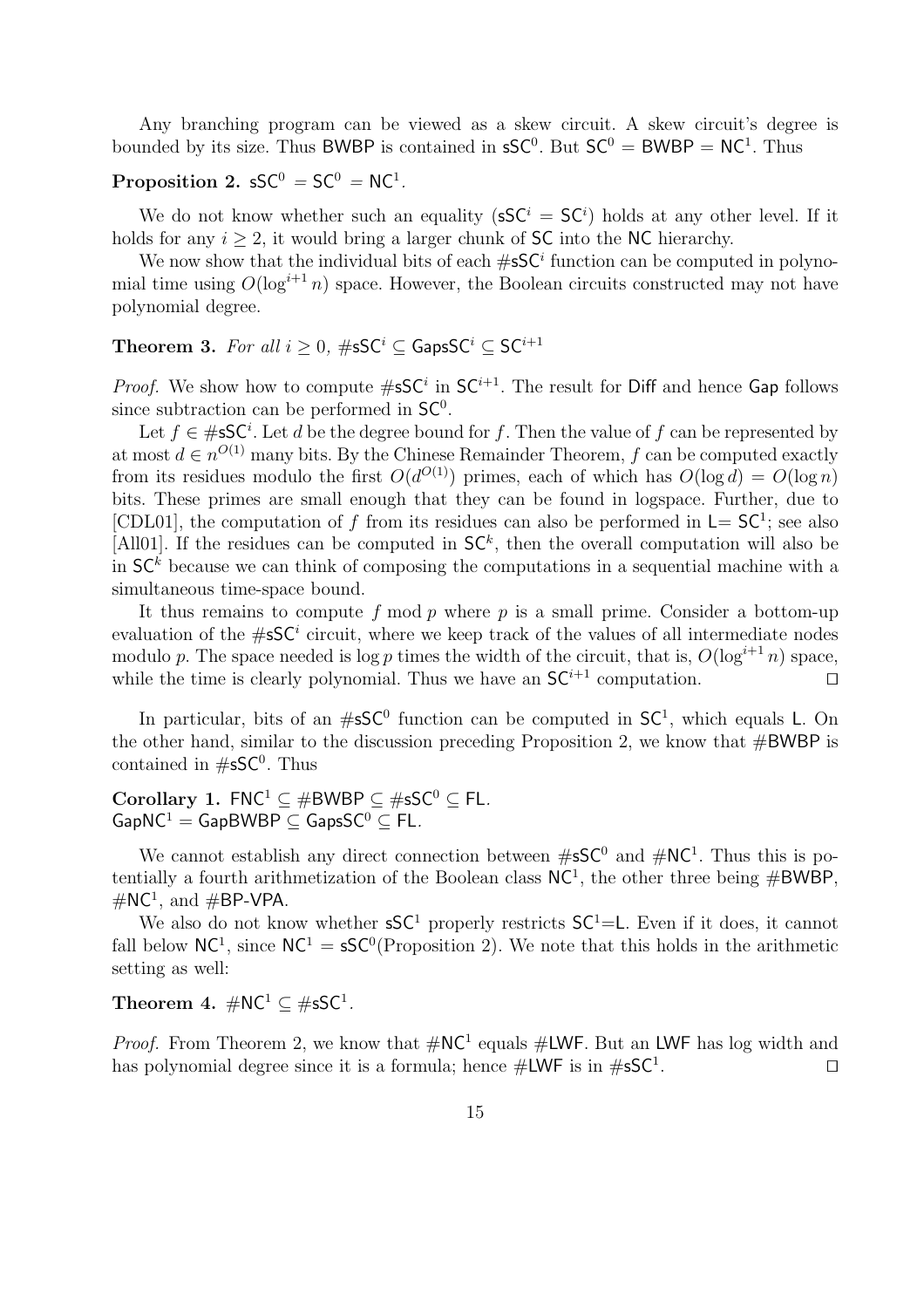Any branching program can be viewed as a skew circuit. A skew circuit's degree is bounded by its size. Thus BWBP is contained in  $\mathsf{sSC}^0$ . But  $\mathsf{SC}^0 = \mathsf{BWBP} = \mathsf{NC}^1$ . Thus

## Proposition 2.  $\mathsf{sSC}^0 = \mathsf{SC}^0 = \mathsf{NC}^1$ .

We do not know whether such an equality  $(SSC^i = SC^i)$  holds at any other level. If it holds for any  $i \geq 2$ , it would bring a larger chunk of SC into the NC hierarchy.

We now show that the individual bits of each  $\#$ s $C^i$  function can be computed in polynomial time using  $O(\log^{i+1} n)$  space. However, the Boolean circuits constructed may not have polynomial degree.

**Theorem 3.** For all  $i \geq 0$ ,  $\#$ sSC<sup>i</sup>  $\subseteq$  GapsSC<sup>i</sup>  $\subseteq$  SC<sup>i+1</sup>

*Proof.* We show how to compute  $\#$ sSC<sup>*i*</sup> in SC<sup>*i*+1</sup>. The result for Diff and hence Gap follows since subtraction can be performed in  $SC<sup>0</sup>$ .

Let  $f \in \#sSC^i$ . Let d be the degree bound for f. Then the value of f can be represented by at most  $d \in n^{O(1)}$  many bits. By the Chinese Remainder Theorem, f can be computed exactly from its residues modulo the first  $O(d^{O(1)})$  primes, each of which has  $O(\log d) = O(\log n)$ bits. These primes are small enough that they can be found in logspace. Further, due to [CDL01], the computation of f from its residues can also be performed in  $L = SC<sup>1</sup>$ ; see also [All01]. If the residues can be computed in  $SC^k$ , then the overall computation will also be in  $SC<sup>k</sup>$  because we can think of composing the computations in a sequential machine with a simultaneous time-space bound.

It thus remains to compute f mod p where p is a small prime. Consider a bottom-up evaluation of the  $\#$ s $C^i$  circuit, where we keep track of the values of all intermediate nodes modulo p. The space needed is log p times the width of the circuit, that is,  $O(\log^{i+1} n)$  space, while the time is clearly polynomial. Thus we have an  $SC^{i+1}$  computation.

In particular, bits of an  $\#sSC^0$  function can be computed in  $SC^1$ , which equals L. On the other hand, similar to the discussion preceding Proposition 2, we know that  $\#BWBP$  is contained in  $\#$ s $\mathsf{SC}^0$ . Thus

Corollary 1.  $FNC^1 \subset \#BWBP \subset \#sSC^0 \subset FL$ .  $GapNC^1 = GapBWBP \subseteq GapsSC^0 \subseteq FL$ .

We cannot establish any direct connection between  $\#S\mathsf{C}^0$  and  $\#NC^1$ . Thus this is potentially a fourth arithmetization of the Boolean class  $NC<sup>1</sup>$ , the other three being  $\#BWBP$ ,  $\#NC^1$ , and  $\#BP\text{-}VPA$ .

We also do not know whether  $\mathsf{S} \mathsf{C}^1$  properly restricts  $\mathsf{S} \mathsf{C}^1 = \mathsf{L}$ . Even if it does, it cannot fall below  $NC^1$ , since  $NC^1 = sSC^0$  (Proposition 2). We note that this holds in the arithmetic setting as well:

Theorem 4.  $\#\mathsf{NC}^1\subseteq\# \mathsf{sSC}^1$ .

*Proof.* From Theorem 2, we know that  $\#\text{NC}^1$  equals  $\#\text{LWF}$ . But an LWF has log width and has polynomial degree since it is a formula; hence  $\#\textsf{LWF}$  is in  $\#\textsf{sSC}^1$ . . The contract of  $\Box$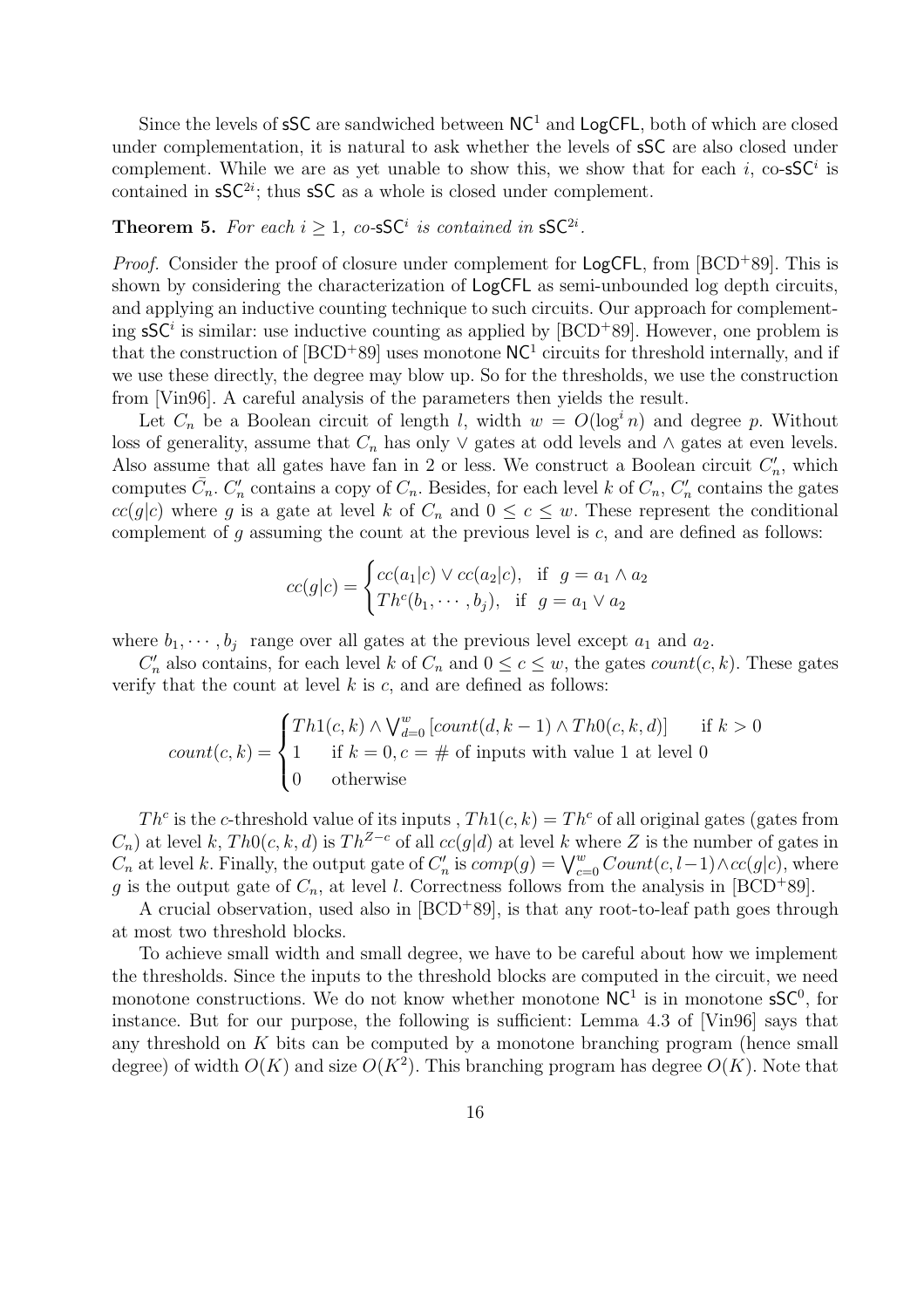Since the levels of  $SSC$  are sandwiched between  $NC<sup>1</sup>$  and  $LogCFL$ , both of which are closed under complementation, it is natural to ask whether the levels of sSC are also closed under complement. While we are as yet unable to show this, we show that for each i, co-sSC<sup>i</sup> is contained in  $\mathsf{sSC}^{2i}$ ; thus  $\mathsf{sSC}$  as a whole is closed under complement.

## **Theorem 5.** For each  $i \geq 1$ , co-sSC<sup>*i*</sup> is contained in sSC<sup>2*i*</sup>.

*Proof.* Consider the proof of closure under complement for  $\text{LogCFL}$ , from [BCD<sup>+</sup>89]. This is shown by considering the characterization of LogCFL as semi-unbounded log depth circuits, and applying an inductive counting technique to such circuits. Our approach for complementing  $\mathsf{sSC}^i$  is similar: use inductive counting as applied by [BCD<sup>+</sup>89]. However, one problem is that the construction of  $[BCD+89]$  uses monotone  $NC<sup>1</sup>$  circuits for threshold internally, and if we use these directly, the degree may blow up. So for the thresholds, we use the construction from [Vin96]. A careful analysis of the parameters then yields the result.

Let  $C_n$  be a Boolean circuit of length l, width  $w = O(\log^i n)$  and degree p. Without loss of generality, assume that  $C_n$  has only  $\vee$  gates at odd levels and  $\wedge$  gates at even levels. Also assume that all gates have fan in 2 or less. We construct a Boolean circuit  $C'_n$ , which computes  $\bar{C}_n$ .  $C'_n$  contains a copy of  $C_n$ . Besides, for each level k of  $C_n$ ,  $C'_n$  contains the gates  $cc(g|c)$  where g is a gate at level k of  $C_n$  and  $0 \le c \le w$ . These represent the conditional complement of g assuming the count at the previous level is  $c$ , and are defined as follows:

$$
cc(g|c) = \begin{cases} cc(a_1|c) \lor cc(a_2|c), & \text{if } g = a_1 \land a_2 \\ Th^c(b_1, \cdots, b_j), & \text{if } g = a_1 \lor a_2 \end{cases}
$$

where  $b_1, \dots, b_j$  range over all gates at the previous level except  $a_1$  and  $a_2$ .

 $C'_n$  also contains, for each level k of  $C_n$  and  $0 \le c \le w$ , the gates  $count(c, k)$ . These gates verify that the count at level  $k$  is  $c$ , and are defined as follows:

$$
count(c, k) = \begin{cases} Th1(c, k) \land \bigvee_{d=0}^{w} [count(d, k-1) \land Th0(c, k, d)] & \text{if } k > 0\\ 1 & \text{if } k = 0, c = \# \text{ of inputs with value 1 at level 0}\\ 0 & \text{otherwise} \end{cases}
$$

Th<sup>c</sup> is the c-threshold value of its inputs,  $Th1(c, k) = Th<sup>c</sup>$  of all original gates (gates from  $C_n$ ) at level k,  $Th0(c, k, d)$  is  $Th^{Z-c}$  of all  $cc(g|d)$  at level k where Z is the number of gates in  $C_n$  at level k. Finally, the output gate of  $C'_n$  is  $comp(g) = \bigvee_{c=0}^w Count(c, l-1) \wedge cc(g|c)$ , where g is the output gate of  $C_n$ , at level l. Correctness follows from the analysis in [BCD<sup>+</sup>89].

A crucial observation, used also in [BCD<sup>+</sup>89], is that any root-to-leaf path goes through at most two threshold blocks.

To achieve small width and small degree, we have to be careful about how we implement the thresholds. Since the inputs to the threshold blocks are computed in the circuit, we need monotone constructions. We do not know whether monotone  $NC<sup>1</sup>$  is in monotone  $\mathsf{sSC}^0$ , for instance. But for our purpose, the following is sufficient: Lemma 4.3 of [Vin96] says that any threshold on K bits can be computed by a monotone branching program (hence small degree) of width  $O(K)$  and size  $O(K^2)$ . This branching program has degree  $O(K)$ . Note that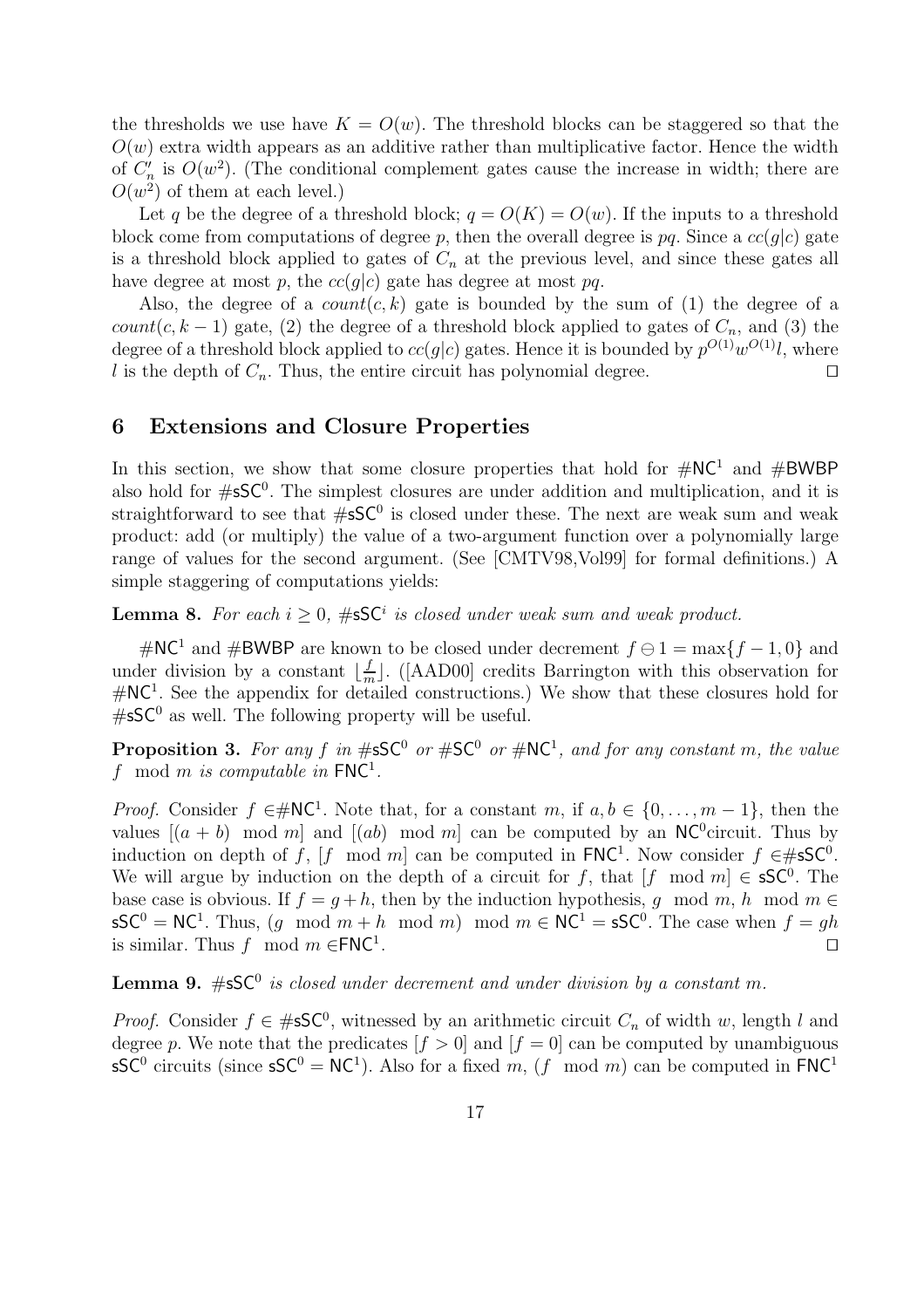the thresholds we use have  $K = O(w)$ . The threshold blocks can be staggered so that the  $O(w)$  extra width appears as an additive rather than multiplicative factor. Hence the width of  $C'_n$  is  $O(w^2)$ . (The conditional complement gates cause the increase in width; there are  $O(w^2)$  of them at each level.)

Let q be the degree of a threshold block;  $q = O(K) = O(w)$ . If the inputs to a threshold block come from computations of degree p, then the overall degree is pq. Since a  $cc(g|c)$  gate is a threshold block applied to gates of  $C_n$  at the previous level, and since these gates all have degree at most p, the  $cc(q|c)$  gate has degree at most pq.

Also, the degree of a  $count(c, k)$  gate is bounded by the sum of (1) the degree of a count(c, k – 1) gate, (2) the degree of a threshold block applied to gates of  $C_n$ , and (3) the degree of a threshold block applied to  $cc(g|c)$  gates. Hence it is bounded by  $p^{O(1)}w^{O(1)}l$ , where l is the depth of  $C_n$ . Thus, the entire circuit has polynomial degree.

## 6 Extensions and Closure Properties

In this section, we show that some closure properties that hold for  $\#\text{NC}^1$  and  $\#\text{BWBP}$ also hold for  $\#$ s $\mathsf{SC}^0$ . The simplest closures are under addition and multiplication, and it is straightforward to see that  $\#$ s $\mathsf{SC}^0$  is closed under these. The next are weak sum and weak product: add (or multiply) the value of a two-argument function over a polynomially large range of values for the second argument. (See [CMTV98,Vol99] for formal definitions.) A simple staggering of computations yields:

**Lemma 8.** For each  $i \geq 0$ , #sSC<sup>i</sup> is closed under weak sum and weak product.

#NC<sup>1</sup> and #BWBP are known to be closed under decrement  $f \ominus 1 = \max\{f - 1, 0\}$  and under division by a constant  $\lfloor \frac{f}{m} \rfloor$  $\lfloor \frac{L}{m} \rfloor$ . ([AAD00] credits Barrington with this observation for #NC<sup>1</sup> . See the appendix for detailed constructions.) We show that these closures hold for  $\#$ sSC<sup>0</sup> as well. The following property will be useful.

**Proposition 3.** For any f in  $\#$ s $\mathsf{SC}^0$  or  $\#$  $\mathsf{SC}^0$  or  $\#$ NC<sup>1</sup>, and for any constant m, the value f mod m is computable in  $FNC<sup>1</sup>$ .

*Proof.* Consider  $f \in \mathcal{H}NC^1$ . Note that, for a constant m, if  $a, b \in \{0, ..., m-1\}$ , then the values  $[(a + b) \mod m]$  and  $[(ab) \mod m]$  can be computed by an NC<sup>0</sup>circuit. Thus by induction on depth of f, [f mod m] can be computed in  $FNC<sup>1</sup>$ . Now consider  $f \in #SSC<sup>0</sup>$ . We will argue by induction on the depth of a circuit for f, that  $[f \mod m] \in sSC^0$ . The base case is obvious. If  $f = g + h$ , then by the induction hypothesis, g mod m, h mod m  $\in$  $\mathsf{sSC}^0 = \mathsf{NC}^1$ . Thus,  $(g \mod m + h \mod m) \mod m \in \mathsf{NC}^1 = \mathsf{sSC}^0$ . The case when  $f = gh$ is similar. Thus f mod  $m \in FNC^1$ . . The contract of the contract of the contract of the contract of the contract of the contract of the contract of the contract of the contract of the contract of the contract of the contract of the contract of the contract

**Lemma 9.**  $\#sSC^0$  is closed under decrement and under division by a constant m.

*Proof.* Consider  $f \in \#sSC^0$ , witnessed by an arithmetic circuit  $C_n$  of width w, length l and degree p. We note that the predicates  $[f > 0]$  and  $[f = 0]$  can be computed by unambiguous sSC<sup>0</sup> circuits (since  $\mathsf{sSC}^0 = \mathsf{NC}^1$ ). Also for a fixed m, (f mod m) can be computed in FNC<sup>1</sup>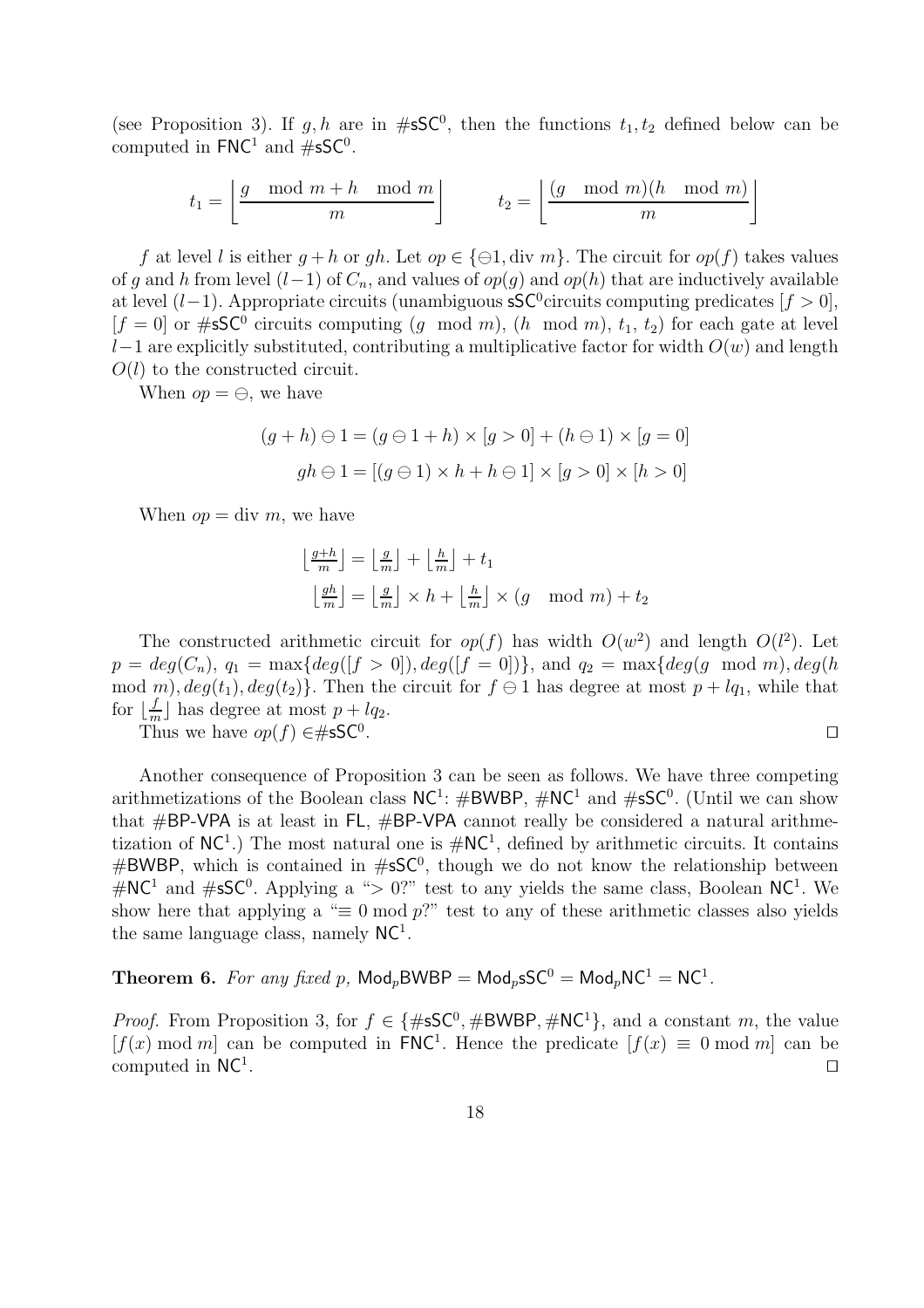(see Proposition 3). If g, h are in  $\#$ sSC<sup>0</sup>, then the functions  $t_1, t_2$  defined below can be computed in  $FNC^1$  and  $\#sSC^0$ .

$$
t_1 = \left\lfloor \frac{g \mod m + h \mod m}{m} \right\rfloor \qquad t_2 = \left\lfloor \frac{(g \mod m)(h \mod m)}{m} \right\rfloor
$$

f at level l is either  $q + h$  or  $qh$ . Let  $op \in \{\ominus 1, \text{div } m\}$ . The circuit for  $op(f)$  takes values of g and h from level  $(l-1)$  of  $C_n$ , and values of  $op(g)$  and  $op(h)$  that are inductively available at level  $(l-1)$ . Appropriate circuits (unambiguous sSC<sup>0</sup>circuits computing predicates  $[f > 0]$ ,  $[f = 0]$  or #sSC<sup>0</sup> circuits computing  $(g \mod m)$ ,  $(h \mod m)$ ,  $t_1, t_2$  for each gate at level l−1 are explicitly substituted, contributing a multiplicative factor for width  $O(w)$  and length  $O(l)$  to the constructed circuit.

When  $op = \bigoplus$ , we have

$$
(g+h) \ominus 1 = (g \ominus 1 + h) \times [g > 0] + (h \ominus 1) \times [g = 0]
$$
  

$$
gh \ominus 1 = [(g \ominus 1) \times h + h \ominus 1] \times [g > 0] \times [h > 0]
$$

When  $op = \text{div } m$ , we have

$$
\begin{aligned} \left\lfloor \frac{g+h}{m} \right\rfloor &= \left\lfloor \frac{g}{m} \right\rfloor + \left\lfloor \frac{h}{m} \right\rfloor + t_1\\ \left\lfloor \frac{gh}{m} \right\rfloor &= \left\lfloor \frac{g}{m} \right\rfloor \times h + \left\lfloor \frac{h}{m} \right\rfloor \times (g \mod m) + t_2 \end{aligned}
$$

The constructed arithmetic circuit for  $op(f)$  has width  $O(w^2)$  and length  $O(l^2)$ . Let  $p = deg(C_n), q_1 = max{deg([f > 0]), deg([f = 0])},$  and  $q_2 = max{deg(g \mod m), deg(h)}$ mod m),  $deg(t_1)$ ,  $deg(t_2)$ . Then the circuit for  $f \ominus 1$  has degree at most  $p + lq_1$ , while that for  $\lfloor \frac{f}{n} \rfloor$  $\frac{f}{m}$  has degree at most  $p + lq_2$ .

Thus we have  $op(f) \in \#sSC^0$ . . The contract of the contract of the contract of the contract of the contract of the contract of the contract of the contract of the contract of the contract of the contract of the contract of the contract of the contract

Another consequence of Proposition 3 can be seen as follows. We have three competing arithmetizations of the Boolean class  $NC^1$ :  $\#BWBP$ ,  $\#NC^1$  and  $\#sSC^0$ . (Until we can show that  $\#BP\text{-}VPA$  is at least in FL,  $\#BP\text{-}VPA$  cannot really be considered a natural arithmetization of  $NC<sup>1</sup>$ .) The most natural one is  $\# NC<sup>1</sup>$ , defined by arithmetic circuits. It contains  $#BWBP$ , which is contained in  $#SSC^0$ , though we do not know the relationship between  $\#\text{NC}^1$  and  $\#\text{sSC}^0$ . Applying a "> 0?" test to any yields the same class, Boolean NC<sup>1</sup>. We show here that applying a " $\equiv 0 \mod p$ " test to any of these arithmetic classes also yields the same language class, namely  $NC<sup>1</sup>$ .

## Theorem 6. For any fixed p,  $\text{Mod}_p\text{BWBP} = \text{Mod}_p\text{sSC}^0 = \text{Mod}_p\text{NC}^1 = \text{NC}^1$ .

*Proof.* From Proposition 3, for  $f \in \{\#sSC^0, \#BWBP, \#NC^1\}$ , and a constant m, the value  $[f(x) \mod m]$  can be computed in FNC<sup>1</sup>. Hence the predicate  $[f(x) \equiv 0 \mod m]$  can be computed in  $NC<sup>1</sup>$ . . Under the contract of the contract of the contract of the contract of the contract of the contract of the co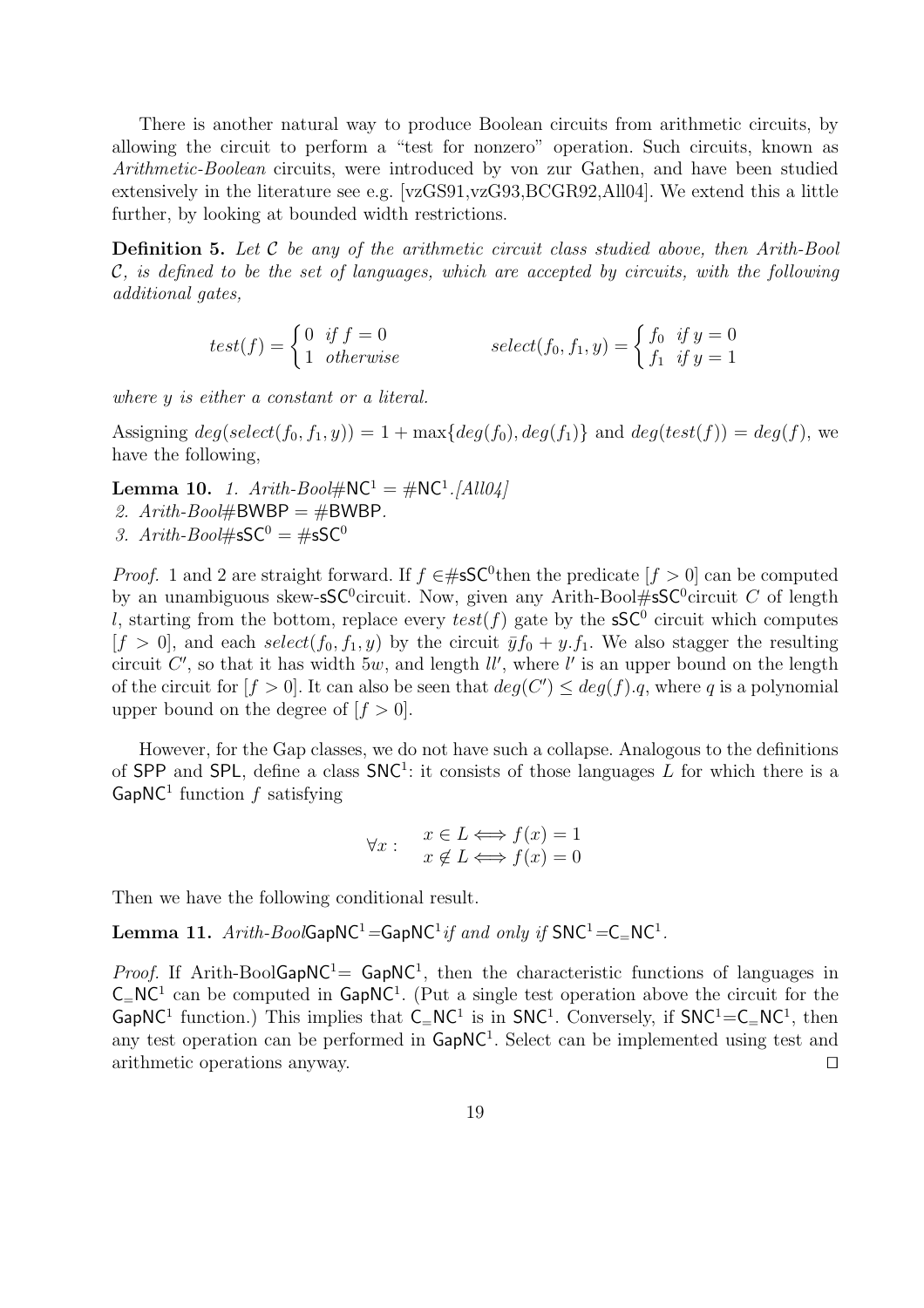There is another natural way to produce Boolean circuits from arithmetic circuits, by allowing the circuit to perform a "test for nonzero" operation. Such circuits, known as Arithmetic-Boolean circuits, were introduced by von zur Gathen, and have been studied extensively in the literature see e.g. [vzGS91,vzG93,BCGR92,All04]. We extend this a little further, by looking at bounded width restrictions.

**Definition 5.** Let  $C$  be any of the arithmetic circuit class studied above, then Arith-Bool  $\mathcal{C}$ , is defined to be the set of languages, which are accepted by circuits, with the following additional gates,

$$
test(f) = \begin{cases} 0 & \text{if } f = 0 \\ 1 & \text{otherwise} \end{cases} \qquad select(f_0, f_1, y) = \begin{cases} f_0 & \text{if } y = 0 \\ f_1 & \text{if } y = 1 \end{cases}
$$

where y is either a constant or a literal.

Assigning  $deg(selectric(f_0, f_1, y)) = 1 + max\{deg(f_0), deg(f_1)\}\$ and  $deg(test(f)) = deg(f)$ , we have the following,

**Lemma 10.** 1.  $Arith-Bool\#\mathsf{NC}^1 = \#\mathsf{NC}^1.[All04]$ 2.  $Arith-Bool\#BWBP = \#BWBP$ . 3. Arith-Bool# $\mathsf{sSC}^0 = \# \mathsf{sSC}^0$ 

*Proof.* 1 and 2 are straight forward. If  $f \in #S\mathsf{SC}^0$  then the predicate  $[f > 0]$  can be computed by an unambiguous skew-sSC<sup>0</sup>circuit. Now, given any Arith-Bool#sSC<sup>0</sup>circuit C of length l, starting from the bottom, replace every  $test(f)$  gate by the  $\mathsf{sSC}^0$  circuit which computes  $[f > 0]$ , and each select $(f_0, f_1, y)$  by the circuit  $\bar{y}f_0 + y.f_1$ . We also stagger the resulting circuit C', so that it has width  $5w$ , and length  $ll'$ , where  $l'$  is an upper bound on the length of the circuit for  $[f > 0]$ . It can also be seen that  $deg(C') \leq deg(f).q$ , where q is a polynomial upper bound on the degree of  $[f > 0]$ .

However, for the Gap classes, we do not have such a collapse. Analogous to the definitions of SPP and SPL, define a class  $SNC<sup>1</sup>$ : it consists of those languages L for which there is a GapNC<sup>1</sup> function  $f$  satisfying

$$
\forall x: \quad \begin{array}{l} x \in L \Longleftrightarrow f(x) = 1 \\ x \notin L \Longleftrightarrow f(x) = 0 \end{array}
$$

Then we have the following conditional result.

 ${\bf Lemma \ 11.} \ \textit{Arith-BoolGapNC^1} = {\sf GapNC^1} \textit{if and only if } {{\sf SNC^1}} = {\sf C}_={{\sf NC^1}}.$ 

*Proof.* If Arith-BoolGapNC<sup>1</sup>= GapNC<sup>1</sup>, then the characteristic functions of languages in  $C=NC<sup>1</sup>$  can be computed in  $GapNC<sup>1</sup>$ . (Put a single test operation above the circuit for the GapNC<sup>1</sup> function.) This implies that  $C=NC^1$  is in SNC<sup>1</sup>. Conversely, if  $SNC^1=C=NC^1$ , then any test operation can be performed in  $\text{GapNC}^1$ . Select can be implemented using test and arithmetic operations anyway.  $\Box$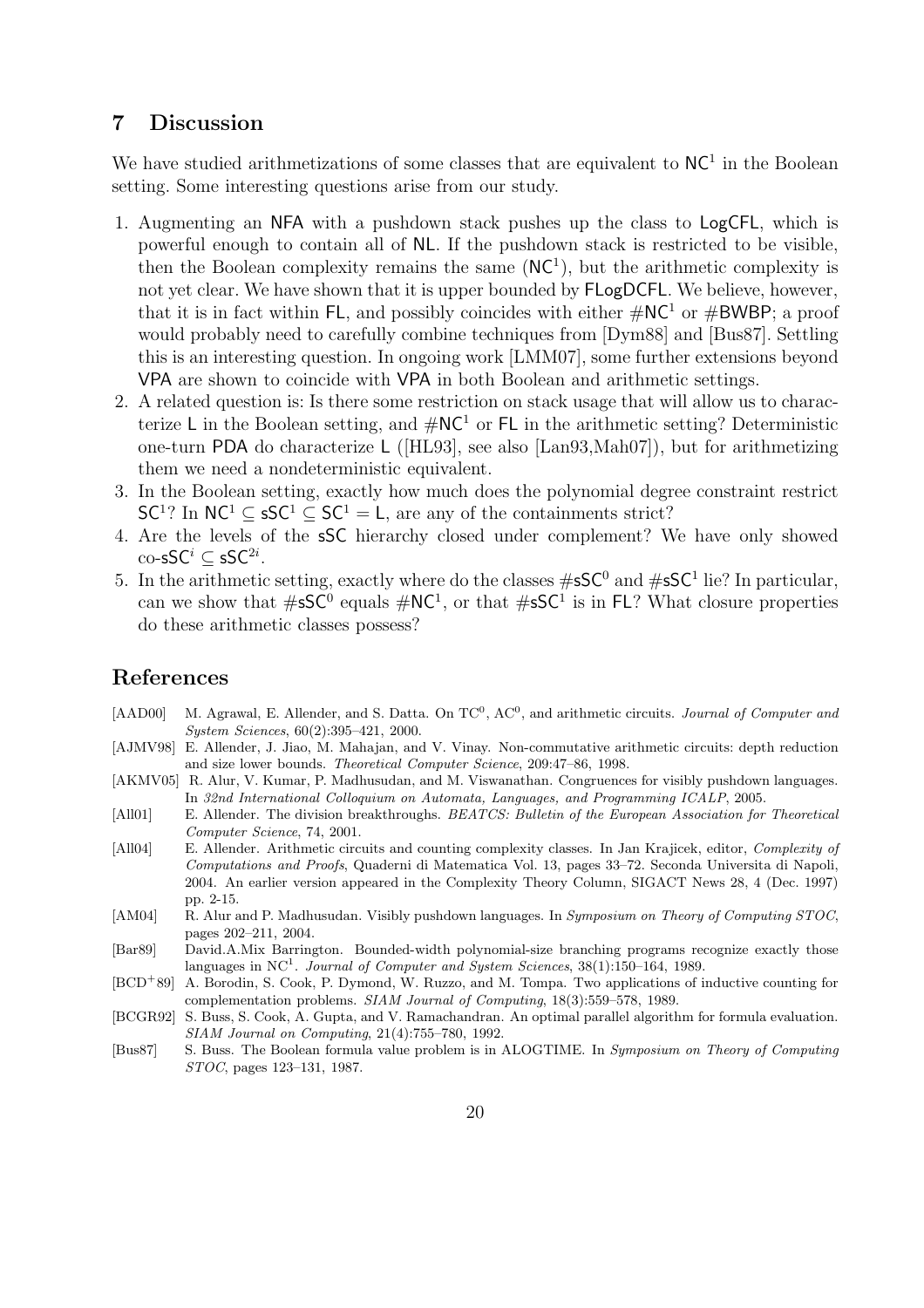## 7 Discussion

We have studied arithmetizations of some classes that are equivalent to  $NC<sup>1</sup>$  in the Boolean setting. Some interesting questions arise from our study.

- 1. Augmenting an NFA with a pushdown stack pushes up the class to LogCFL, which is powerful enough to contain all of NL. If the pushdown stack is restricted to be visible, then the Boolean complexity remains the same  $(NC^1)$ , but the arithmetic complexity is not yet clear. We have shown that it is upper bounded by FLogDCFL. We believe, however, that it is in fact within FL, and possibly coincides with either  $\#\text{NC}^1$  or  $\#\text{BWBP}$ ; a proof would probably need to carefully combine techniques from [Dym88] and [Bus87]. Settling this is an interesting question. In ongoing work [LMM07], some further extensions beyond VPA are shown to coincide with VPA in both Boolean and arithmetic settings.
- 2. A related question is: Is there some restriction on stack usage that will allow us to characterize L in the Boolean setting, and  $\#NC^1$  or FL in the arithmetic setting? Deterministic one-turn PDA do characterize L ([HL93], see also [Lan93,Mah07]), but for arithmetizing them we need a nondeterministic equivalent.
- 3. In the Boolean setting, exactly how much does the polynomial degree constraint restrict  $SC<sup>1</sup>$ ? In  $NC<sup>1</sup> \subseteq SC<sup>1</sup> \subseteq SC<sup>1</sup> = L$ , are any of the containments strict?
- 4. Are the levels of the sSC hierarchy closed under complement? We have only showed  $\mathrm{co}\text{-}\mathsf{s}\mathsf{SC}^{i} \subseteq \mathsf{s}\mathsf{SC}^{2i}.$
- 5. In the arithmetic setting, exactly where do the classes  $\#$ sSC<sup>0</sup> and  $\#$ sSC<sup>1</sup> lie? In particular, can we show that  $\#sSC^0$  equals  $\#NC^1$ , or that  $\#sSC^1$  is in FL? What closure properties do these arithmetic classes possess?

## References

- [AAD00] M. Agrawal, E. Allender, and S. Datta. On  $TC^0$ ,  $AC^0$ , and arithmetic circuits. *Journal of Computer and* System Sciences, 60(2):395–421, 2000.
- [AJMV98] E. Allender, J. Jiao, M. Mahajan, and V. Vinay. Non-commutative arithmetic circuits: depth reduction and size lower bounds. Theoretical Computer Science, 209:47–86, 1998.
- [AKMV05] R. Alur, V. Kumar, P. Madhusudan, and M. Viswanathan. Congruences for visibly pushdown languages. In 32nd International Colloquium on Automata, Languages, and Programming ICALP, 2005.
- [All01] E. Allender. The division breakthroughs. BEATCS: Bulletin of the European Association for Theoretical Computer Science, 74, 2001.
- [All04] E. Allender. Arithmetic circuits and counting complexity classes. In Jan Krajicek, editor, Complexity of Computations and Proofs, Quaderni di Matematica Vol. 13, pages 33–72. Seconda Universita di Napoli, 2004. An earlier version appeared in the Complexity Theory Column, SIGACT News 28, 4 (Dec. 1997) pp. 2-15.
- [AM04] R. Alur and P. Madhusudan. Visibly pushdown languages. In Symposium on Theory of Computing STOC, pages 202–211, 2004.
- [Bar89] David.A.Mix Barrington. Bounded-width polynomial-size branching programs recognize exactly those languages in NC<sup>1</sup>. Journal of Computer and System Sciences,  $38(1):150-164$ , 1989.
- [BCD<sup>+</sup>89] A. Borodin, S. Cook, P. Dymond, W. Ruzzo, and M. Tompa. Two applications of inductive counting for complementation problems. SIAM Journal of Computing, 18(3):559–578, 1989.
- [BCGR92] S. Buss, S. Cook, A. Gupta, and V. Ramachandran. An optimal parallel algorithm for formula evaluation. SIAM Journal on Computing, 21(4):755–780, 1992.
- [Bus87] S. Buss. The Boolean formula value problem is in ALOGTIME. In Symposium on Theory of Computing STOC, pages 123–131, 1987.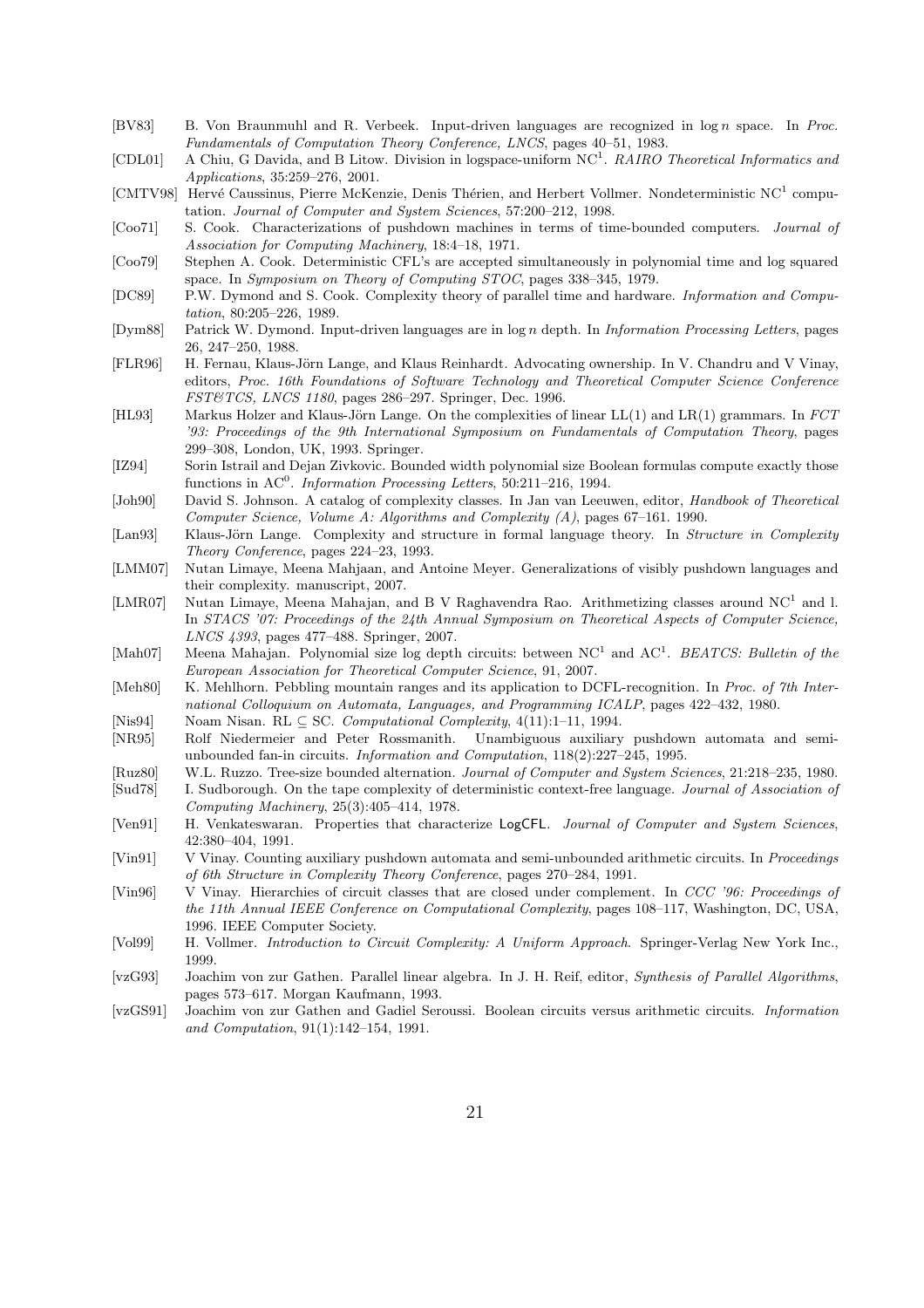- [BV83] B. Von Braunmuhl and R. Verbeek. Input-driven languages are recognized in  $\log n$  space. In Proc. Fundamentals of Computation Theory Conference, LNCS, pages 40–51, 1983.
- [CDL01] A Chiu, G Davida, and B Litow. Division in logspace-uniform NC<sup>1</sup>. RAIRO Theoretical Informatics and Applications, 35:259–276, 2001.
- [CMTV98] Hervé Caussinus, Pierre McKenzie, Denis Thérien, and Herbert Vollmer. Nondeterministic NC<sup>1</sup> computation. Journal of Computer and System Sciences, 57:200–212, 1998.
- [Coo71] S. Cook. Characterizations of pushdown machines in terms of time-bounded computers. Journal of Association for Computing Machinery, 18:4–18, 1971.
- [Coo79] Stephen A. Cook. Deterministic CFL's are accepted simultaneously in polynomial time and log squared space. In Symposium on Theory of Computing STOC, pages 338–345, 1979.
- [DC89] P.W. Dymond and S. Cook. Complexity theory of parallel time and hardware. Information and Computation, 80:205–226, 1989.
- [Dym88] Patrick W. Dymond. Input-driven languages are in log n depth. In Information Processing Letters, pages 26, 247–250, 1988.
- [FLR96] H. Fernau, Klaus-Jörn Lange, and Klaus Reinhardt. Advocating ownership. In V. Chandru and V Vinay, editors, Proc. 16th Foundations of Software Technology and Theoretical Computer Science Conference FST&TCS, LNCS 1180, pages 286–297. Springer, Dec. 1996.
- [HL93] Markus Holzer and Klaus-Jörn Lange. On the complexities of linear  $LL(1)$  and  $LR(1)$  grammars. In  $FCT$ '93: Proceedings of the 9th International Symposium on Fundamentals of Computation Theory, pages 299–308, London, UK, 1993. Springer.
- [IZ94] Sorin Istrail and Dejan Zivkovic. Bounded width polynomial size Boolean formulas compute exactly those functions in  $AC^0$ . Information Processing Letters, 50:211-216, 1994.
- [Joh90] David S. Johnson. A catalog of complexity classes. In Jan van Leeuwen, editor, Handbook of Theoretical Computer Science, Volume A: Algorithms and Complexity (A), pages 67–161. 1990.
- [Lan93] Klaus-Jörn Lange. Complexity and structure in formal language theory. In Structure in Complexity Theory Conference, pages 224–23, 1993.
- [LMM07] Nutan Limaye, Meena Mahjaan, and Antoine Meyer. Generalizations of visibly pushdown languages and their complexity. manuscript, 2007.
- [LMR07] Nutan Limaye, Meena Mahajan, and B V Raghavendra Rao. Arithmetizing classes around NC<sup>1</sup> and l. In STACS '07: Proceedings of the 24th Annual Symposium on Theoretical Aspects of Computer Science, LNCS 4393, pages 477–488. Springer, 2007.
- [Mah07] Meena Mahajan. Polynomial size log depth circuits: between NC<sup>1</sup> and AC<sup>1</sup>. BEATCS: Bulletin of the European Association for Theoretical Computer Science, 91, 2007.
- [Meh80] K. Mehlhorn. Pebbling mountain ranges and its application to DCFL-recognition. In Proc. of 7th International Colloquium on Automata, Languages, and Programming ICALP, pages 422–432, 1980.
- [Nis94] Noam Nisan. RL ⊆ SC. Computational Complexity, 4(11):1–11, 1994.
- [NR95] Rolf Niedermeier and Peter Rossmanith. Unambiguous auxiliary pushdown automata and semiunbounded fan-in circuits. Information and Computation, 118(2):227–245, 1995.
- [Ruz80] W.L. Ruzzo. Tree-size bounded alternation. Journal of Computer and System Sciences, 21:218–235, 1980.
- [Sud78] I. Sudborough. On the tape complexity of deterministic context-free language. Journal of Association of Computing Machinery, 25(3):405–414, 1978.
- [Ven91] H. Venkateswaran. Properties that characterize LogCFL. Journal of Computer and System Sciences, 42:380–404, 1991.
- [Vin91] V Vinay. Counting auxiliary pushdown automata and semi-unbounded arithmetic circuits. In Proceedings of 6th Structure in Complexity Theory Conference, pages 270–284, 1991.
- [Vin96] V Vinay. Hierarchies of circuit classes that are closed under complement. In CCC '96: Proceedings of the 11th Annual IEEE Conference on Computational Complexity, pages 108–117, Washington, DC, USA, 1996. IEEE Computer Society.
- [Vol99] H. Vollmer. Introduction to Circuit Complexity: A Uniform Approach. Springer-Verlag New York Inc., 1999.
- [vzG93] Joachim von zur Gathen. Parallel linear algebra. In J. H. Reif, editor, Synthesis of Parallel Algorithms, pages 573–617. Morgan Kaufmann, 1993.
- [vzGS91] Joachim von zur Gathen and Gadiel Seroussi. Boolean circuits versus arithmetic circuits. Information and Computation, 91(1):142–154, 1991.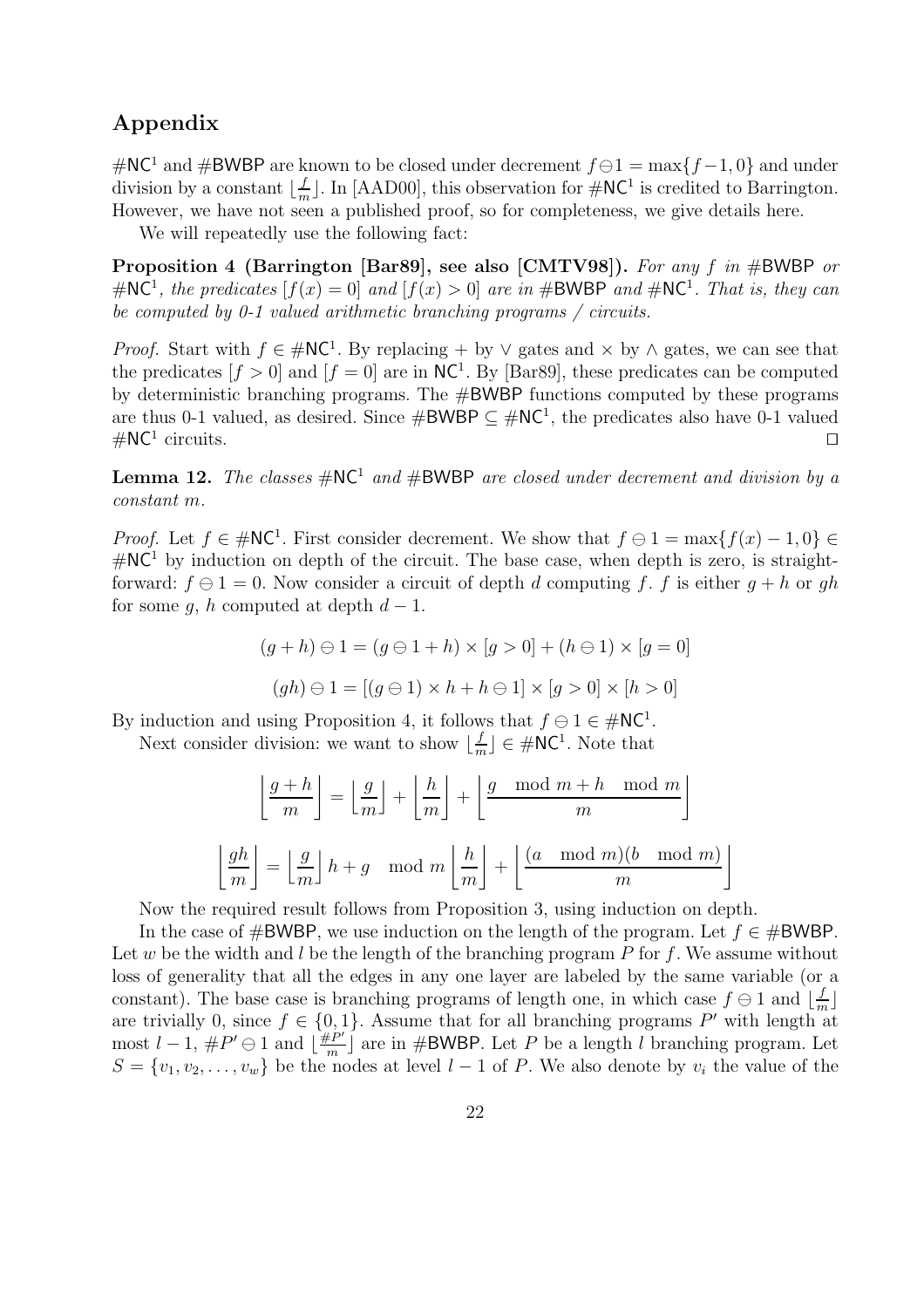## Appendix

#NC<sup>1</sup> and #BWBP are known to be closed under decrement  $f \ominus 1 = \max\{f - 1, 0\}$  and under division by a constant  $\lfloor \frac{f}{n} \rfloor$  $\frac{f}{m}$ . In [AAD00], this observation for  $\#\text{NC}^1$  is credited to Barrington. However, we have not seen a published proof, so for completeness, we give details here.

We will repeatedly use the following fact:

Proposition 4 (Barrington [Bar89], see also [CMTV98]). For any f in #BWBP or #NC<sup>1</sup>, the predicates  $[f(x) = 0]$  and  $[f(x) > 0]$  are in #BWBP and #NC<sup>1</sup>. That is, they can be computed by 0-1 valued arithmetic branching programs / circuits.

*Proof.* Start with  $f \in #NC^1$ . By replacing + by  $\vee$  gates and  $\times$  by  $\wedge$  gates, we can see that the predicates  $[f > 0]$  and  $[f = 0]$  are in NC<sup>1</sup>. By [Bar89], these predicates can be computed by deterministic branching programs. The #BWBP functions computed by these programs are thus 0-1 valued, as desired. Since  $\#\text{BWBP} \subseteq \#\text{NC}^1$ , the predicates also have 0-1 valued  $\#\mathsf{NC}^1$  circuits. circuits.  $\square$ 

**Lemma 12.** The classes  $\#\text{NC}^1$  and  $\#\text{BWBP}$  are closed under decrement and division by a constant m.

*Proof.* Let  $f \in \mathcal{H}$  NC<sup>1</sup>. First consider decrement. We show that  $f \ominus 1 = \max\{f(x) - 1, 0\} \in$  $\#\mathsf{NC}^1$  by induction on depth of the circuit. The base case, when depth is zero, is straightforward:  $f \ominus 1 = 0$ . Now consider a circuit of depth d computing f, f is either  $q + h$  or gh for some q, h computed at depth  $d-1$ .

$$
(g+h) \ominus 1 = (g \ominus 1 + h) \times [g > 0] + (h \ominus 1) \times [g = 0]
$$
  

$$
(gh) \ominus 1 = [(g \ominus 1) \times h + h \ominus 1] \times [g > 0] \times [h > 0]
$$

By induction and using Proposition 4, it follows that  $f \ominus 1 \in \text{HNC}^1$ .

Next consider division: we want to show  $\lfloor \frac{f}{m} \rfloor$  $\frac{f}{m}$   $\in \#NC^1$ . Note that

$$
\left\lfloor \frac{g+h}{m} \right\rfloor = \left\lfloor \frac{g}{m} \right\rfloor + \left\lfloor \frac{h}{m} \right\rfloor + \left\lfloor \frac{g \mod m + h \mod m}{m} \right\rfloor
$$

$$
\left\lfloor \frac{gh}{m} \right\rfloor = \left\lfloor \frac{g}{m} \right\rfloor h + g \mod m \left\lfloor \frac{h}{m} \right\rfloor + \left\lfloor \frac{(a \mod m)(b \mod m)}{m} \right\rfloor
$$

Now the required result follows from Proposition 3, using induction on depth.

In the case of #BWBP, we use induction on the length of the program. Let  $f \in \#BWBP$ . Let w be the width and  $l$  be the length of the branching program  $P$  for  $f$ . We assume without loss of generality that all the edges in any one layer are labeled by the same variable (or a constant). The base case is branching programs of length one, in which case  $f \ominus 1$  and  $\lfloor \frac{f}{m} \rfloor$ are trivially 0, since  $f \in \{0, 1\}$ . Assume that for all branching programs P' with length at most  $l-1, \#P' \ominus 1$  and  $\lfloor \frac{\#P'}{m} \rfloor$  $\frac{eP'}{m}$  are in #BWBP. Let P be a length l branching program. Let  $S = \{v_1, v_2, \ldots, v_w\}$  be the nodes at level  $l-1$  of P. We also denote by  $v_i$  the value of the